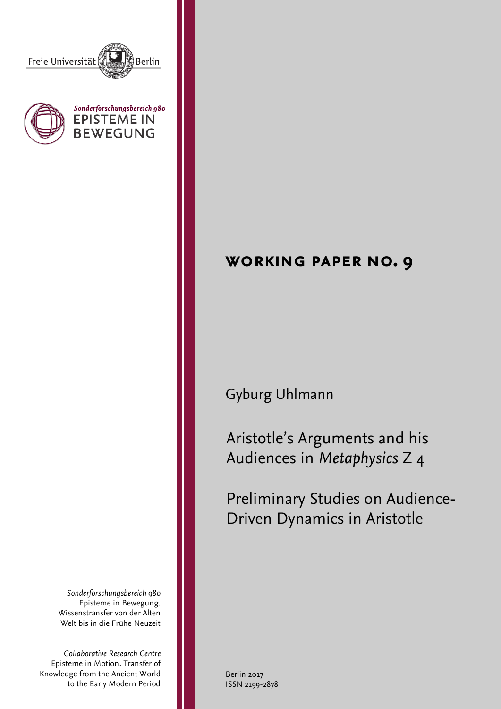





# **working paper no. 9**

# Gyburg Uhlmann

Aristotle's Arguments and his Audiences in *Metaphysics* Z 4

Preliminary Studies on Audience-Driven Dynamics in Aristotle

*Sonderforschungsbereich 980* Episteme in Bewegung. Wissenstransfer von der Alten Welt bis in die Frühe Neuzeit

*Collaborative Research Centre* Episteme in Motion. Transfer of Knowledge from the Ancient World to the Early Modern Period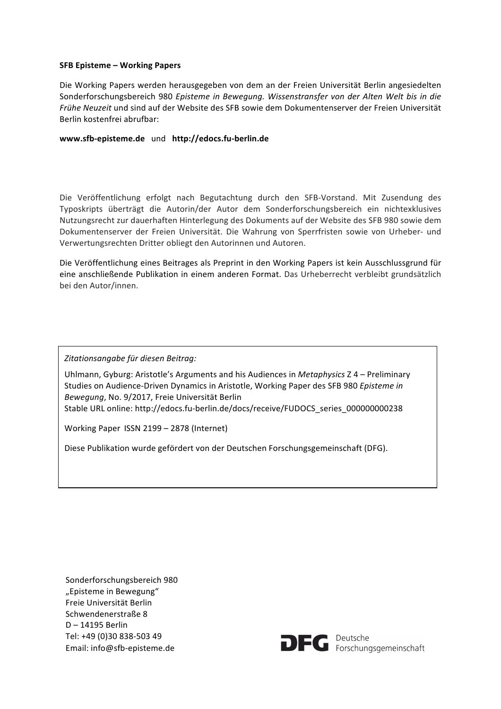#### **SFB Episteme – Working Papers**

Die Working Papers werden herausgegeben von dem an der Freien Universität Berlin angesiedelten Sonderforschungsbereich 980 Episteme in Bewegung. Wissenstransfer von der Alten Welt bis in die Frühe Neuzeit und sind auf der Website des SFB sowie dem Dokumentenserver der Freien Universität Berlin kostenfrei abrufbar:

#### www.sfb-episteme.de und http://edocs.fu-berlin.de

Die Veröffentlichung erfolgt nach Begutachtung durch den SFB-Vorstand. Mit Zusendung des Typoskripts überträgt die Autorin/der Autor dem Sonderforschungsbereich ein nichtexklusives Nutzungsrecht zur dauerhaften Hinterlegung des Dokuments auf der Website des SFB 980 sowie dem Dokumentenserver der Freien Universität. Die Wahrung von Sperrfristen sowie von Urheber- und Verwertungsrechten Dritter obliegt den Autorinnen und Autoren.

Die Veröffentlichung eines Beitrages als Preprint in den Working Papers ist kein Ausschlussgrund für eine anschließende Publikation in einem anderen Format. Das Urheberrecht verbleibt grundsätzlich bei den Autor/innen. 

*Zitationsangabe für diesen Beitrag:*

Uhlmann, Gyburg: Aristotle's Arguments and his Audiences in *Metaphysics* Z 4 - Preliminary Studies on Audience-Driven Dynamics in Aristotle, Working Paper des SFB 980 Episteme in *Bewegung*, No. 9/2017, Freie Universität Berlin

Stable URL online: http://edocs.fu-berlin.de/docs/receive/FUDOCS\_series\_000000000238

Working Paper ISSN 2199 - 2878 (Internet)

Diese Publikation wurde gefördert von der Deutschen Forschungsgemeinschaft (DFG).

Sonderforschungsbereich 980 "Episteme in Bewegung" Freie Universität Berlin Schwendenerstraße 8 D – 14195 Berlin Tel: +49 (0)30 838-503 49 Email: info@sfb-episteme.de

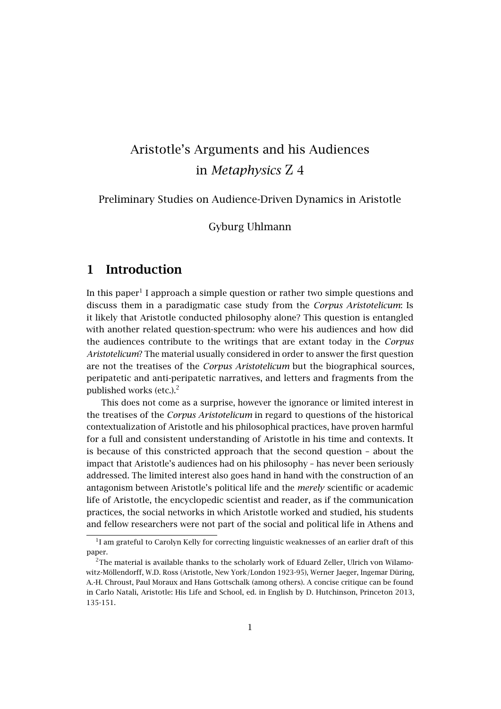# Aristotle's Arguments and his Audiences in *Metaphysics* Ζ 4

Preliminary Studies on Audience-Driven Dynamics in Aristotle

Gyburg Uhlmann

### **1 Introduction**

In this paper $^{\rm 1}$  I approach a simple question or rather two simple questions and discuss them in a paradigmatic case study from the *Corpus Aristotelicum*: Is it likely that Aristotle conducted philosophy alone? This question is entangled with another related question-spectrum: who were his audiences and how did the audiences contribute to the writings that are extant today in the *Corpus Aristotelicum*? The material usually considered in order to answer the first question are not the treatises of the *Corpus Aristotelicum* but the biographical sources, peripatetic and anti-peripatetic narratives, and letters and fragments from the published works (etc.). $2^2$ 

This does not come as a surprise, however the ignorance or limited interest in the treatises of the *Corpus Aristotelicum* in regard to questions of the historical contextualization of Aristotle and his philosophical practices, have proven harmful for a full and consistent understanding of Aristotle in his time and contexts. It is because of this constricted approach that the second question – about the impact that Aristotle's audiences had on his philosophy – has never been seriously addressed. The limited interest also goes hand in hand with the construction of an antagonism between Aristotle's political life and the *merely* scientific or academic life of Aristotle, the encyclopedic scientist and reader, as if the communication practices, the social networks in which Aristotle worked and studied, his students and fellow researchers were not part of the social and political life in Athens and

<sup>&</sup>lt;sup>1</sup>I am grateful to Carolyn Kelly for correcting linguistic weaknesses of an earlier draft of this paper.

<sup>&</sup>lt;sup>2</sup>The material is available thanks to the scholarly work of Eduard Zeller, Ulrich von Wilamowitz-Möllendorff, W.D. Ross (Aristotle, New York/London 1923-95), Werner Jaeger, Ingemar Düring, A.-H. Chroust, Paul Moraux and Hans Gottschalk (among others). A concise critique can be found in Carlo Natali, Aristotle: His Life and School, ed. in English by D. Hutchinson, Princeton 2013, 135-151.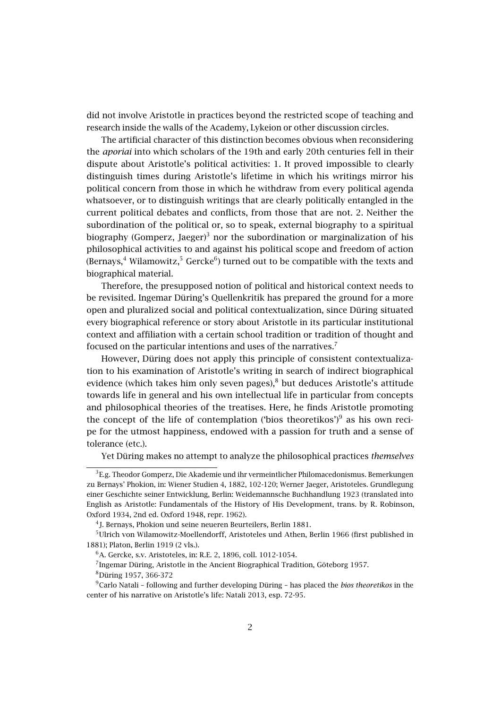did not involve Aristotle in practices beyond the restricted scope of teaching and research inside the walls of the Academy, Lykeion or other discussion circles.

The artificial character of this distinction becomes obvious when reconsidering the *aporiai* into which scholars of the 19th and early 20th centuries fell in their dispute about Aristotle's political activities: 1. It proved impossible to clearly distinguish times during Aristotle's lifetime in which his writings mirror his political concern from those in which he withdraw from every political agenda whatsoever, or to distinguish writings that are clearly politically entangled in the current political debates and conflicts, from those that are not. 2. Neither the subordination of the political or, so to speak, external biography to a spiritual biography (Gomperz, Jaeger)<sup>3</sup> nor the subordination or marginalization of his philosophical activities to and against his political scope and freedom of action (Bernays, $^4$  Wilamowitz, $^5$  Gercke $^6$ ) turned out to be compatible with the texts and biographical material.

Therefore, the presupposed notion of political and historical context needs to be revisited. Ingemar Düring's Quellenkritik has prepared the ground for a more open and pluralized social and political contextualization, since Düring situated every biographical reference or story about Aristotle in its particular institutional context and affiliation with a certain school tradition or tradition of thought and focused on the particular intentions and uses of the narratives.<sup>7</sup>

However, Düring does not apply this principle of consistent contextualization to his examination of Aristotle's writing in search of indirect biographical evidence (which takes him only seven pages), $8$  but deduces Aristotle's attitude towards life in general and his own intellectual life in particular from concepts and philosophical theories of the treatises. Here, he finds Aristotle promoting the concept of the life of contemplation ('bios theoretikos') $9$  as his own recipe for the utmost happiness, endowed with a passion for truth and a sense of tolerance (etc.).

Yet Düring makes no attempt to analyze the philosophical practices *themselves*

 $^3$ E.g. Theodor Gomperz, Die Akademie und ihr vermeintlicher Philomacedonismus. Bemerkungen zu Bernays' Phokion, in: Wiener Studien 4, 1882, 102-120; Werner Jaeger, Aristoteles. Grundlegung einer Geschichte seiner Entwicklung, Berlin: Weidemannsche Buchhandlung 1923 (translated into English as Aristotle: Fundamentals of the History of His Development, trans. by R. Robinson, Oxford 1934, 2nd ed. Oxford 1948, repr. 1962).

<sup>4</sup> J. Bernays, Phokion und seine neueren Beurteilers, Berlin 1881.

<sup>5</sup>Ulrich von Wilamowitz-Moellendorff, Aristoteles und Athen, Berlin 1966 (first published in 1881); Platon, Berlin 1919 (2 vls.).

<sup>6</sup>A. Gercke, s.v. Aristoteles, in: R.E. 2, 1896, coll. 1012-1054.

<sup>&</sup>lt;sup>7</sup>Ingemar Düring, Aristotle in the Ancient Biographical Tradition, Göteborg 1957.

<sup>8</sup>Düring 1957, 366-372

<sup>9</sup>Carlo Natali – following and further developing Düring – has placed the *bios theoretikos* in the center of his narrative on Aristotle's life: Natali 2013, esp. 72-95.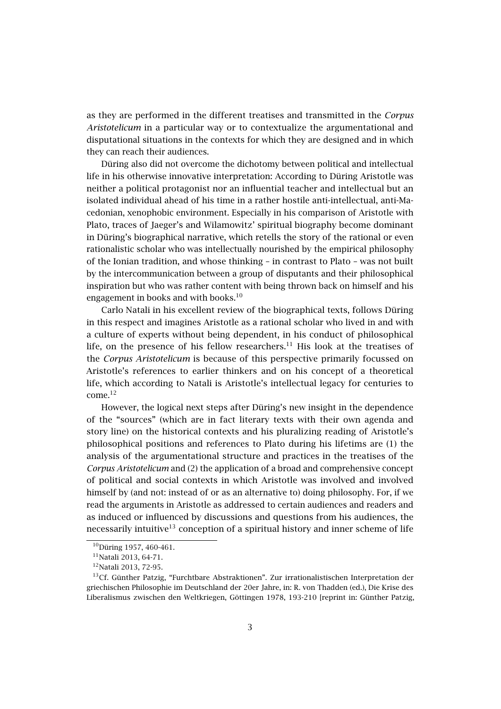as they are performed in the different treatises and transmitted in the *Corpus Aristotelicum* in a particular way or to contextualize the argumentational and disputational situations in the contexts for which they are designed and in which they can reach their audiences.

Düring also did not overcome the dichotomy between political and intellectual life in his otherwise innovative interpretation: According to Düring Aristotle was neither a political protagonist nor an influential teacher and intellectual but an isolated individual ahead of his time in a rather hostile anti-intellectual, anti-Macedonian, xenophobic environment. Especially in his comparison of Aristotle with Plato, traces of Jaeger's and Wilamowitz' spiritual biography become dominant in Düring's biographical narrative, which retells the story of the rational or even rationalistic scholar who was intellectually nourished by the empirical philosophy of the Ionian tradition, and whose thinking – in contrast to Plato – was not built by the intercommunication between a group of disputants and their philosophical inspiration but who was rather content with being thrown back on himself and his engagement in books and with books.<sup>10</sup>

Carlo Natali in his excellent review of the biographical texts, follows Düring in this respect and imagines Aristotle as a rational scholar who lived in and with a culture of experts without being dependent, in his conduct of philosophical life, on the presence of his fellow researchers. $11$  His look at the treatises of the *Corpus Aristotelicum* is because of this perspective primarily focussed on Aristotle's references to earlier thinkers and on his concept of a theoretical life, which according to Natali is Aristotle's intellectual legacy for centuries to  $come<sup>12</sup>$ 

However, the logical next steps after Düring's new insight in the dependence of the "sources" (which are in fact literary texts with their own agenda and story line) on the historical contexts and his pluralizing reading of Aristotle's philosophical positions and references to Plato during his lifetims are (1) the analysis of the argumentational structure and practices in the treatises of the *Corpus Aristotelicum* and (2) the application of a broad and comprehensive concept of political and social contexts in which Aristotle was involved and involved himself by (and not: instead of or as an alternative to) doing philosophy. For, if we read the arguments in Aristotle as addressed to certain audiences and readers and as induced or influenced by discussions and questions from his audiences, the necessarily intuitive<sup>13</sup> conception of a spiritual history and inner scheme of life

<sup>10</sup>Düring 1957, 460-461.

<sup>11</sup>Natali 2013, 64-71.

<sup>12</sup>Natali 2013, 72-95.

<sup>&</sup>lt;sup>13</sup>Cf. Günther Patzig, "Furchtbare Abstraktionen". Zur irrationalistischen Interpretation der griechischen Philosophie im Deutschland der 20er Jahre, in: R. von Thadden (ed.), Die Krise des Liberalismus zwischen den Weltkriegen, Göttingen 1978, 193-210 [reprint in: Günther Patzig,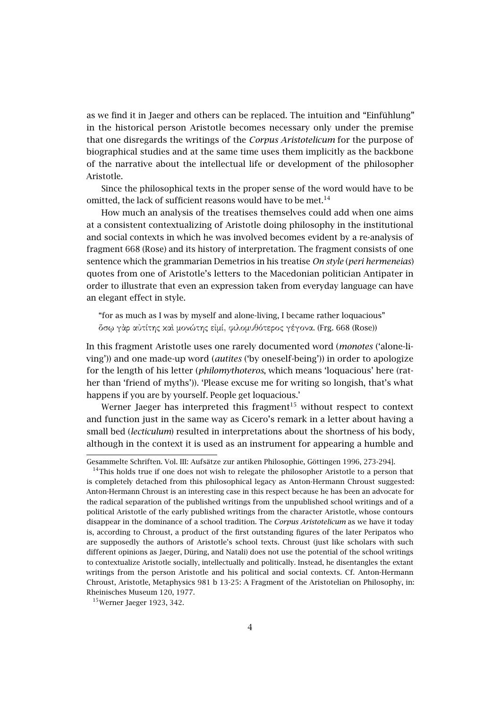as we find it in Jaeger and others can be replaced. The intuition and "Einfühlung" in the historical person Aristotle becomes necessary only under the premise that one disregards the writings of the *Corpus Aristotelicum* for the purpose of biographical studies and at the same time uses them implicitly as the backbone of the narrative about the intellectual life or development of the philosopher Aristotle.

Since the philosophical texts in the proper sense of the word would have to be omitted, the lack of sufficient reasons would have to be met.<sup>14</sup>

How much an analysis of the treatises themselves could add when one aims at a consistent contextualizing of Aristotle doing philosophy in the institutional and social contexts in which he was involved becomes evident by a re-analysis of fragment 668 (Rose) and its history of interpretation. The fragment consists of one sentence which the grammarian Demetrios in his treatise *On style* (*peri hermeneias*) quotes from one of Aristotle's letters to the Macedonian politician Antipater in order to illustrate that even an expression taken from everyday language can have an elegant effect in style.

"for as much as I was by myself and alone-living, I became rather loquacious" ὅσῳ γὰρ αὐτίτης καὶ µονώτης εἰµί, φιλοµυθότερος γέγονα. (Frg. 668 (Rose))

In this fragment Aristotle uses one rarely documented word (*monotes* ('alone-living')) and one made-up word (*autites* ('by oneself-being')) in order to apologize for the length of his letter (*philomythoteros*, which means 'loquacious' here (rather than 'friend of myths')). 'Please excuse me for writing so longish, that's what happens if you are by yourself. People get loquacious.'

Werner Jaeger has interpreted this fragment<sup>15</sup> without respect to context and function just in the same way as Cicero's remark in a letter about having a small bed (*lecticulum*) resulted in interpretations about the shortness of his body, although in the context it is used as an instrument for appearing a humble and

Gesammelte Schriften. Vol. III: Aufsätze zur antiken Philosophie, Göttingen 1996, 273-294].

 $14$ This holds true if one does not wish to relegate the philosopher Aristotle to a person that is completely detached from this philosophical legacy as Anton-Hermann Chroust suggested: Anton-Hermann Chroust is an interesting case in this respect because he has been an advocate for the radical separation of the published writings from the unpublished school writings and of a political Aristotle of the early published writings from the character Aristotle, whose contours disappear in the dominance of a school tradition. The *Corpus Aristotelicum* as we have it today is, according to Chroust, a product of the first outstanding figures of the later Peripatos who are supposedly the authors of Aristotle's school texts. Chroust (just like scholars with such different opinions as Jaeger, Düring, and Natali) does not use the potential of the school writings to contextualize Aristotle socially, intellectually and politically. Instead, he disentangles the extant writings from the person Aristotle and his political and social contexts. Cf. Anton-Hermann Chroust, Aristotle, Metaphysics 981 b 13-25: A Fragment of the Aristotelian on Philosophy, in: Rheinisches Museum 120, 1977.

<sup>15</sup>Werner Jaeger 1923, 342.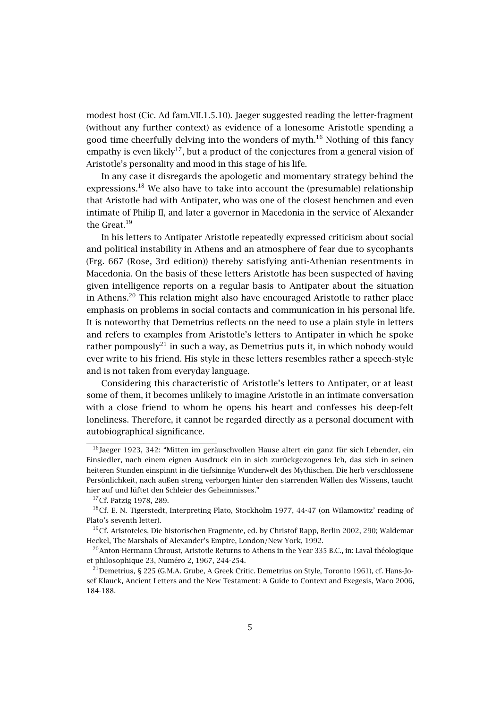modest host (Cic. Ad fam.VII.1.5.10). Jaeger suggested reading the letter-fragment (without any further context) as evidence of a lonesome Aristotle spending a good time cheerfully delving into the wonders of myth.<sup>16</sup> Nothing of this fancy empathy is even likely<sup>17</sup>, but a product of the conjectures from a general vision of Aristotle's personality and mood in this stage of his life.

In any case it disregards the apologetic and momentary strategy behind the expressions.<sup>18</sup> We also have to take into account the (presumable) relationship that Aristotle had with Antipater, who was one of the closest henchmen and even intimate of Philip II, and later a governor in Macedonia in the service of Alexander the Great.<sup>19</sup>

In his letters to Antipater Aristotle repeatedly expressed criticism about social and political instability in Athens and an atmosphere of fear due to sycophants (Frg. 667 (Rose, 3rd edition)) thereby satisfying anti-Athenian resentments in Macedonia. On the basis of these letters Aristotle has been suspected of having given intelligence reports on a regular basis to Antipater about the situation in Athens.<sup>20</sup> This relation might also have encouraged Aristotle to rather place emphasis on problems in social contacts and communication in his personal life. It is noteworthy that Demetrius reflects on the need to use a plain style in letters and refers to examples from Aristotle's letters to Antipater in which he spoke rather pompously<sup>21</sup> in such a way, as Demetrius puts it, in which nobody would ever write to his friend. His style in these letters resembles rather a speech-style and is not taken from everyday language.

Considering this characteristic of Aristotle's letters to Antipater, or at least some of them, it becomes unlikely to imagine Aristotle in an intimate conversation with a close friend to whom he opens his heart and confesses his deep-felt loneliness. Therefore, it cannot be regarded directly as a personal document with autobiographical significance.

 $^{16}$ Jaeger 1923, 342: "Mitten im geräuschvollen Hause altert ein ganz für sich Lebender, ein Einsiedler, nach einem eignen Ausdruck ein in sich zurückgezogenes Ich, das sich in seinen heiteren Stunden einspinnt in die tiefsinnige Wunderwelt des Mythischen. Die herb verschlossene Persönlichkeit, nach außen streng verborgen hinter den starrenden Wällen des Wissens, taucht hier auf und lüftet den Schleier des Geheimnisses."

<sup>17</sup>Cf. Patzig 1978, 289.

<sup>18</sup>Cf. E. N. Tigerstedt, Interpreting Plato, Stockholm 1977, 44-47 (on Wilamowitz' reading of Plato's seventh letter).

<sup>&</sup>lt;sup>19</sup>Cf. Aristoteles, Die historischen Fragmente, ed. by Christof Rapp, Berlin 2002, 290; Waldemar Heckel, The Marshals of Alexander's Empire, London/New York, 1992.

<sup>&</sup>lt;sup>20</sup>Anton-Hermann Chroust, Aristotle Returns to Athens in the Year 335 B.C., in: Laval théologique et philosophique 23, Numéro 2, 1967, 244-254.

<sup>&</sup>lt;sup>21</sup> Demetrius, § 225 (G.M.A. Grube, A Greek Critic. Demetrius on Style, Toronto 1961), cf. Hans-Josef Klauck, Ancient Letters and the New Testament: A Guide to Context and Exegesis, Waco 2006, 184-188.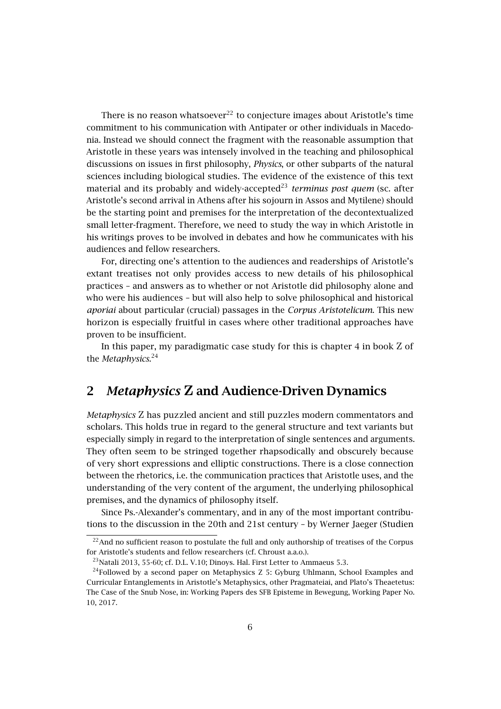There is no reason whatsoever<sup>22</sup> to conjecture images about Aristotle's time commitment to his communication with Antipater or other individuals in Macedonia. Instead we should connect the fragment with the reasonable assumption that Aristotle in these years was intensely involved in the teaching and philosophical discussions on issues in first philosophy, *Physics*, or other subparts of the natural sciences including biological studies. The evidence of the existence of this text material and its probably and widely-accepted<sup>23</sup> *terminus post quem* (sc. after Aristotle's second arrival in Athens after his sojourn in Assos and Mytilene) should be the starting point and premises for the interpretation of the decontextualized small letter-fragment. Therefore, we need to study the way in which Aristotle in his writings proves to be involved in debates and how he communicates with his audiences and fellow researchers.

For, directing one's attention to the audiences and readerships of Aristotle's extant treatises not only provides access to new details of his philosophical practices – and answers as to whether or not Aristotle did philosophy alone and who were his audiences – but will also help to solve philosophical and historical *aporiai* about particular (crucial) passages in the *Corpus Aristotelicum*. This new horizon is especially fruitful in cases where other traditional approaches have proven to be insufficient.

In this paper, my paradigmatic case study for this is chapter 4 in book Ζ of the *Metaphysics*. 24

### **2** *Metaphysics* **Ζ and Audience-Driven Dynamics**

*Metaphysics* Ζ has puzzled ancient and still puzzles modern commentators and scholars. This holds true in regard to the general structure and text variants but especially simply in regard to the interpretation of single sentences and arguments. They often seem to be stringed together rhapsodically and obscurely because of very short expressions and elliptic constructions. There is a close connection between the rhetorics, i.e. the communication practices that Aristotle uses, and the understanding of the very content of the argument, the underlying philosophical premises, and the dynamics of philosophy itself.

Since Ps.-Alexander's commentary, and in any of the most important contributions to the discussion in the 20th and 21st century – by Werner Jaeger (Studien

 $22$ And no sufficient reason to postulate the full and only authorship of treatises of the Corpus for Aristotle's students and fellow researchers (cf. Chroust a.a.o.).

<sup>&</sup>lt;sup>23</sup>Natali 2013, 55-60; cf. D.L. V.10; Dinoys. Hal. First Letter to Ammaeus 5.3.

<sup>&</sup>lt;sup>24</sup>Followed by a second paper on Metaphysics Z 5: Gyburg Uhlmann, School Examples and Curricular Entanglements in Aristotle's Metaphysics, other Pragmateiai, and Plato's Theaetetus: The Case of the Snub Nose, in: Working Papers des SFB Episteme in Bewegung, Working Paper No. 10, 2017.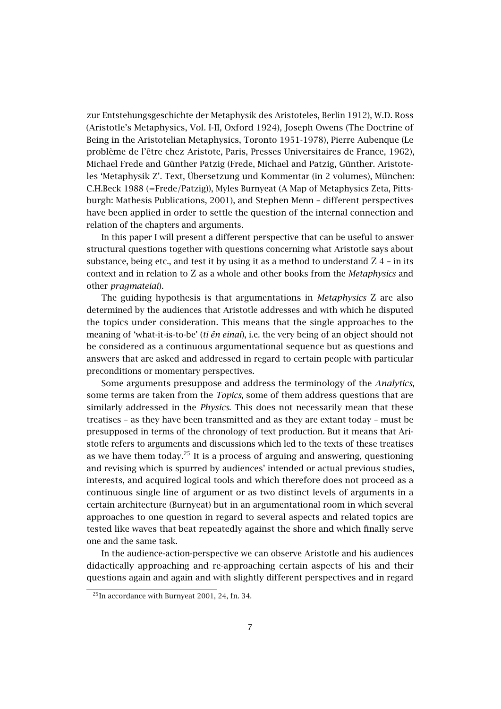zur Entstehungsgeschichte der Metaphysik des Aristoteles, Berlin 1912), W.D. Ross (Aristotle's Metaphysics, Vol. I-II, Oxford 1924), Joseph Owens (The Doctrine of Being in the Aristotelian Metaphysics, Toronto 1951-1978), Pierre Aubenque (Le problème de l'être chez Aristote, Paris, Presses Universitaires de France, 1962), Michael Frede and Günther Patzig (Frede, Michael and Patzig, Günther. Aristoteles 'Metaphysik Z'. Text, Übersetzung und Kommentar (in 2 volumes), München: C.H.Beck 1988 (=Frede/Patzig)), Myles Burnyeat (A Map of Metaphysics Zeta, Pittsburgh: Mathesis Publications, 2001), and Stephen Menn – different perspectives have been applied in order to settle the question of the internal connection and relation of the chapters and arguments.

In this paper I will present a different perspective that can be useful to answer structural questions together with questions concerning what Aristotle says about substance, being etc., and test it by using it as a method to understand  $Z_4$  – in its context and in relation to Ζ as a whole and other books from the *Metaphysics* and other *pragmateiai*).

The guiding hypothesis is that argumentations in *Metaphysics* Ζ are also determined by the audiences that Aristotle addresses and with which he disputed the topics under consideration. This means that the single approaches to the meaning of 'what-it-is-to-be' (*ti ên einai*), i.e. the very being of an object should not be considered as a continuous argumentational sequence but as questions and answers that are asked and addressed in regard to certain people with particular preconditions or momentary perspectives.

Some arguments presuppose and address the terminology of the *Analytics*, some terms are taken from the *Topics*, some of them address questions that are similarly addressed in the *Physics*. This does not necessarily mean that these treatises – as they have been transmitted and as they are extant today – must be presupposed in terms of the chronology of text production. But it means that Aristotle refers to arguments and discussions which led to the texts of these treatises as we have them today.<sup>25</sup> It is a process of arguing and answering, questioning and revising which is spurred by audiences' intended or actual previous studies, interests, and acquired logical tools and which therefore does not proceed as a continuous single line of argument or as two distinct levels of arguments in a certain architecture (Burnyeat) but in an argumentational room in which several approaches to one question in regard to several aspects and related topics are tested like waves that beat repeatedly against the shore and which finally serve one and the same task.

In the audience-action-perspective we can observe Aristotle and his audiences didactically approaching and re-approaching certain aspects of his and their questions again and again and with slightly different perspectives and in regard

 $^{25}$ In accordance with Burnyeat 2001, 24, fn. 34.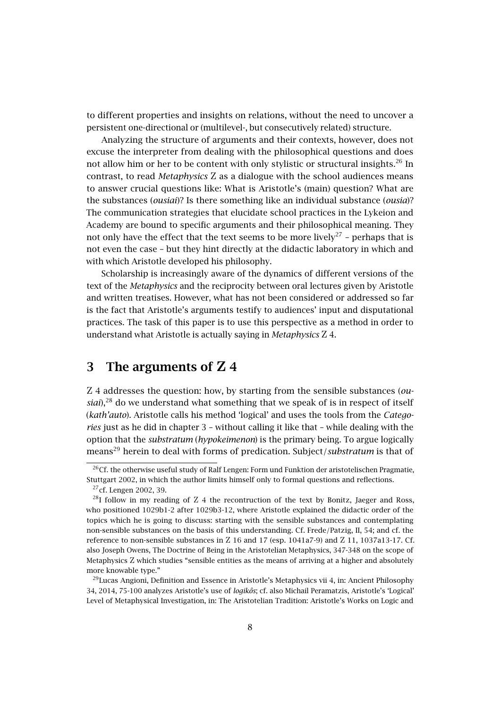to different properties and insights on relations, without the need to uncover a persistent one-directional or (multilevel-, but consecutively related) structure.

Analyzing the structure of arguments and their contexts, however, does not excuse the interpreter from dealing with the philosophical questions and does not allow him or her to be content with only stylistic or structural insights.<sup>26</sup> In contrast, to read *Metaphysics* Ζ as a dialogue with the school audiences means to answer crucial questions like: What is Aristotle's (main) question? What are the substances (*ousiai*)? Is there something like an individual substance (*ousia*)? The communication strategies that elucidate school practices in the Lykeion and Academy are bound to specific arguments and their philosophical meaning. They not only have the effect that the text seems to be more lively<sup>27</sup> – perhaps that is not even the case – but they hint directly at the didactic laboratory in which and with which Aristotle developed his philosophy.

Scholarship is increasingly aware of the dynamics of different versions of the text of the *Metaphysics* and the reciprocity between oral lectures given by Aristotle and written treatises. However, what has not been considered or addressed so far is the fact that Aristotle's arguments testify to audiences' input and disputational practices. The task of this paper is to use this perspective as a method in order to understand what Aristotle is actually saying in *Metaphysics* Ζ 4.

## **3 The arguments of Ζ 4**

Ζ 4 addresses the question: how, by starting from the sensible substances (*ou*siai),<sup>28</sup> do we understand what something that we speak of is in respect of itself (*kath'auto*). Aristotle calls his method 'logical' and uses the tools from the *Categories* just as he did in chapter 3 – without calling it like that – while dealing with the option that the *substratum* (*hypokeimenon*) is the primary being. To argue logically means<sup>29</sup> herein to deal with forms of predication. Subject/*substratum* is that of

 $26C$ f. the otherwise useful study of Ralf Lengen: Form und Funktion der aristotelischen Pragmatie, Stuttgart 2002, in which the author limits himself only to formal questions and reflections.

<sup>&</sup>lt;sup>27</sup>cf. Lengen 2002, 39.

<sup>&</sup>lt;sup>28</sup>I follow in my reading of Z 4 the recontruction of the text by Bonitz, Jaeger and Ross, who positioned 1029b1-2 after 1029b3-12, where Aristotle explained the didactic order of the topics which he is going to discuss: starting with the sensible substances and contemplating non-sensible substances on the basis of this understanding. Cf. Frede/Patzig, II, 54; and cf. the reference to non-sensible substances in Ζ 16 and 17 (esp. 1041a7-9) and Ζ 11, 1037a13-17. Cf. also Joseph Owens, The Doctrine of Being in the Aristotelian Metaphysics, 347-348 on the scope of Metaphysics Ζ which studies "sensible entities as the means of arriving at a higher and absolutely more knowable type."

 $29$ Lucas Angioni, Definition and Essence in Aristotle's Metaphysics vii 4, in: Ancient Philosophy 34, 2014, 75-100 analyzes Aristotle's use of *logikôs*; cf. also Michail Peramatzis, Aristotle's 'Logical' Level of Metaphysical Investigation, in: The Aristotelian Tradition: Aristotle's Works on Logic and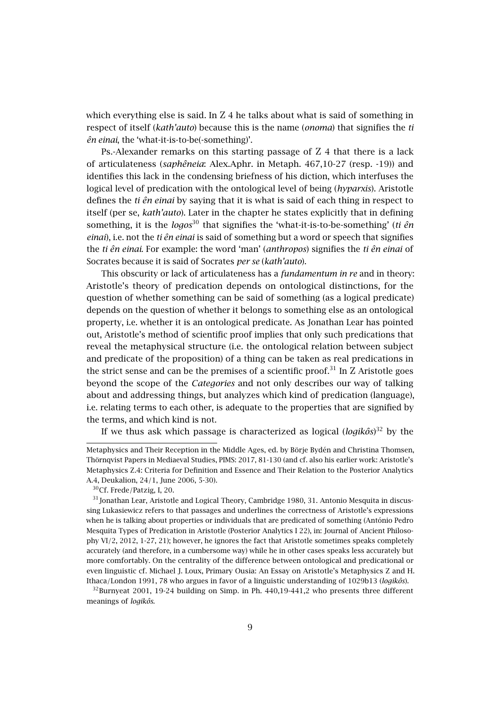which everything else is said. In  $Z$  4 he talks about what is said of something in respect of itself (*kath'auto*) because this is the name (*onoma*) that signifies the *ti ên einai*, the 'what-it-is-to-be(-something)'.

Ps.-Alexander remarks on this starting passage of Z 4 that there is a lack of articulateness (*saphêneia*: Alex.Aphr. in Metaph. 467,10-27 (resp. -19)) and identifies this lack in the condensing briefness of his diction, which interfuses the logical level of predication with the ontological level of being (*hyparxis*). Aristotle defines the *ti ên einai* by saying that it is what is said of each thing in respect to itself (per se, *kath'auto*). Later in the chapter he states explicitly that in defining something, it is the *logos*<sup>30</sup> that signifies the 'what-it-is-to-be-something' (*ti ên einai*), i.e. not the *ti ên einai* is said of something but a word or speech that signifies the *ti ên einai*. For example: the word 'man' (*anthropos*) signifies the *ti ên einai* of Socrates because it is said of Socrates *per se* (*kath'auto*).

This obscurity or lack of articulateness has a *fundamentum in re* and in theory: Aristotle's theory of predication depends on ontological distinctions, for the question of whether something can be said of something (as a logical predicate) depends on the question of whether it belongs to something else as an ontological property, i.e. whether it is an ontological predicate. As Jonathan Lear has pointed out, Aristotle's method of scientific proof implies that only such predications that reveal the metaphysical structure (i.e. the ontological relation between subject and predicate of the proposition) of a thing can be taken as real predications in the strict sense and can be the premises of a scientific proof.<sup>31</sup> In Z Aristotle goes beyond the scope of the *Categories* and not only describes our way of talking about and addressing things, but analyzes which kind of predication (language), i.e. relating terms to each other, is adequate to the properties that are signified by the terms, and which kind is not.

If we thus ask which passage is characterized as logical (*logikôs*) <sup>32</sup> by the

Metaphysics and Their Reception in the Middle Ages, ed. by Börje Bydén and Christina Thomsen, Thörnqvist Papers in Mediaeval Studies, PIMS: 2017, 81-130 (and cf. also his earlier work: Aristotle's Metaphysics Z.4: Criteria for Definition and Essence and Their Relation to the Posterior Analytics A.4, Deukalion, 24/1, June 2006, 5-30).

<sup>30</sup>Cf. Frede/Patzig, I, 20.

 $\rm ^{31}$  Jonathan Lear, Aristotle and Logical Theory, Cambridge 1980, 31. Antonio Mesquita in discussing Lukasiewicz refers to that passages and underlines the correctness of Aristotle's expressions when he is talking about properties or individuals that are predicated of something (António Pedro Mesquita Types of Predication in Aristotle (Posterior Analytics I 22), in: Journal of Ancient Philosophy VI/2, 2012, 1-27, 21); however, he ignores the fact that Aristotle sometimes speaks completely accurately (and therefore, in a cumbersome way) while he in other cases speaks less accurately but more comfortably. On the centrality of the difference between ontological and predicational or even linguistic cf. Michael J. Loux, Primary Ousia: An Essay on Aristotle's Metaphysics Z and H. Ithaca/London 1991, 78 who argues in favor of a linguistic understanding of 1029b13 (*logikôs*).

 $32$ Burnyeat 2001, 19-24 building on Simp. in Ph. 440,19-441,2 who presents three different meanings of *logikôs*.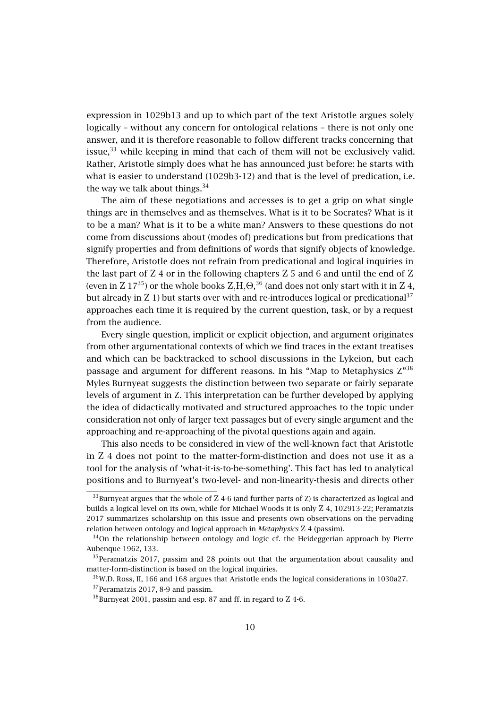expression in 1029b13 and up to which part of the text Aristotle argues solely logically – without any concern for ontological relations – there is not only one answer, and it is therefore reasonable to follow different tracks concerning that issue, $33$  while keeping in mind that each of them will not be exclusively valid. Rather, Aristotle simply does what he has announced just before: he starts with what is easier to understand (1029b3-12) and that is the level of predication, i.e. the way we talk about things. $34$ 

The aim of these negotiations and accesses is to get a grip on what single things are in themselves and as themselves. What is it to be Socrates? What is it to be a man? What is it to be a white man? Answers to these questions do not come from discussions about (modes of) predications but from predications that signify properties and from definitions of words that signify objects of knowledge. Therefore, Aristotle does not refrain from predicational and logical inquiries in the last part of Z 4 or in the following chapters Z 5 and 6 and until the end of Z (even in  $\rm Z$  17 $^{35}$ ) or the whole books  $\rm Z,H,\Theta,^{36}$  (and does not only start with it in  $\rm Z$  4, but already in Z 1) but starts over with and re-introduces logical or predicational<sup>37</sup> approaches each time it is required by the current question, task, or by a request from the audience.

Every single question, implicit or explicit objection, and argument originates from other argumentational contexts of which we find traces in the extant treatises and which can be backtracked to school discussions in the Lykeion, but each passage and argument for different reasons. In his "Map to Metaphysics  $Z^{\prime\prime\prime\prime\prime}$ Myles Burnyeat suggests the distinction between two separate or fairly separate levels of argument in Z. This interpretation can be further developed by applying the idea of didactically motivated and structured approaches to the topic under consideration not only of larger text passages but of every single argument and the approaching and re-approaching of the pivotal questions again and again.

This also needs to be considered in view of the well-known fact that Aristotle in Ζ 4 does not point to the matter-form-distinction and does not use it as a tool for the analysis of 'what-it-is-to-be-something'. This fact has led to analytical positions and to Burnyeat's two-level- and non-linearity-thesis and directs other

 $33$ Burnyeat argues that the whole of Z 4-6 (and further parts of Z) is characterized as logical and builds a logical level on its own, while for Michael Woods it is only Ζ 4, 102913-22; Peramatzis 2017 summarizes scholarship on this issue and presents own observations on the pervading relation between ontology and logical approach in *Metaphysics* Ζ 4 (passim).

 $34$ On the relationship between ontology and logic cf. the Heideggerian approach by Pierre Aubenque 1962, 133.

<sup>&</sup>lt;sup>35</sup>Peramatzis 2017, passim and 28 points out that the argumentation about causality and matter-form-distinction is based on the logical inquiries.

<sup>36</sup>W.D. Ross, II, 166 and 168 argues that Aristotle ends the logical considerations in 1030a27.  $37$ Peramatzis 2017, 8-9 and passim.

<sup>38</sup>Burnyeat 2001, passim and esp. 87 and ff. in regard to Z 4-6.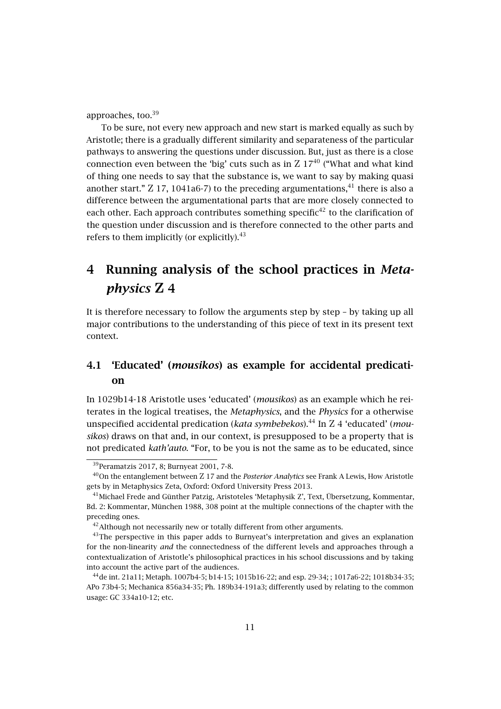approaches, too.<sup>39</sup>

To be sure, not every new approach and new start is marked equally as such by Aristotle; there is a gradually different similarity and separateness of the particular pathways to answering the questions under discussion. But, just as there is a close connection even between the 'big' cuts such as in  $Z 17<sup>40</sup>$  ("What and what kind of thing one needs to say that the substance is, we want to say by making quasi another start."  $Z$  17, 1041a6-7) to the preceding argumentations,<sup>41</sup> there is also a difference between the argumentational parts that are more closely connected to each other. Each approach contributes something specific $^{42}$  to the clarification of the question under discussion and is therefore connected to the other parts and refers to them implicitly (or explicitly).  $43$ 

## **4 Running analysis of the school practices in** *Metaphysics* **Ζ 4**

It is therefore necessary to follow the arguments step by step – by taking up all major contributions to the understanding of this piece of text in its present text context.

#### **4.1 'Educated' (***mousikos***) as example for accidental predication**

In 1029b14-18 Aristotle uses 'educated' (*mousikos*) as an example which he reiterates in the logical treatises, the *Metaphysics*, and the *Physics* for a otherwise unspecified accidental predication (*kata symbebekos*).<sup>44</sup> In Ζ 4 'educated' (*mousikos*) draws on that and, in our context, is presupposed to be a property that is not predicated *kath'auto*. "For, to be you is not the same as to be educated, since

<sup>39</sup>Peramatzis 2017, 8; Burnyeat 2001, 7-8.

<sup>40</sup>On the entanglement between Ζ 17 and the *Posterior Analytics* see Frank A Lewis, How Aristotle gets by in Metaphysics Zeta, Oxford: Oxford University Press 2013.

<sup>&</sup>lt;sup>41</sup>Michael Frede and Günther Patzig, Aristoteles 'Metaphysik Z', Text, Übersetzung, Kommentar, Bd. 2: Kommentar, München 1988, 308 point at the multiple connections of the chapter with the preceding ones.

 $42$ Although not necessarily new or totally different from other arguments.

<sup>&</sup>lt;sup>43</sup>The perspective in this paper adds to Burnyeat's interpretation and gives an explanation for the non-linearity *and* the connectedness of the different levels and approaches through a contextualization of Aristotle's philosophical practices in his school discussions and by taking into account the active part of the audiences.

<sup>44</sup>de int. 21a11; Metaph. 1007b4-5; b14-15; 1015b16-22; and esp. 29-34; ; 1017a6-22; 1018b34-35; APo 73b4-5; Mechanica 856a34-35; Ph. 189b34-191a3; differently used by relating to the common usage: GC 334a10-12; etc.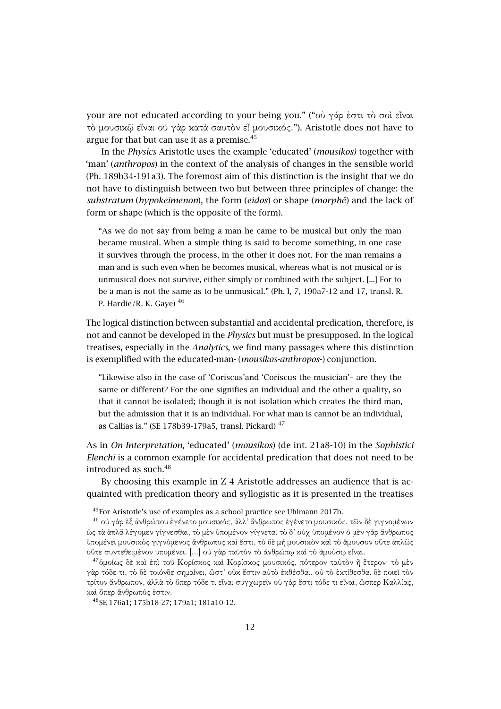your are not educated according to your being you." ("οὐ γάρ ἐστι τὸ σοὶ εἶναι τὸ µουσικῷ εἶναι οὐ γὰρ κατὰ σαυτὸν εἶ µουσικός."). Aristotle does not have to argue for that but can use it as a premise. $45$ 

In the *Physics* Aristotle uses the example 'educated' (*mousikos)* together with 'man' (*anthropos*) in the context of the analysis of changes in the sensible world (Ph. 189b34-191a3). The foremost aim of this distinction is the insight that we do not have to distinguish between two but between three principles of change: the *substratum* (*hypokeimenon*), the form (*eidos*) or shape (*morphê*) and the lack of form or shape (which is the opposite of the form).

"As we do not say from being a man he came to be musical but only the man became musical. When a simple thing is said to become something, in one case it survives through the process, in the other it does not. For the man remains a man and is such even when he becomes musical, whereas what is not musical or is unmusical does not survive, either simply or combined with the subject. [...] For to be a man is not the same as to be unmusical." (Ph. I, 7, 190a7-12 and 17, transl. R. P. Hardie/R. K. Gaye)  $46$ 

The logical distinction between substantial and accidental predication, therefore, is not and cannot be developed in the *Physics* but must be presupposed. In the logical treatises, especially in the *Analytics*, we find many passages where this distinction is exemplified with the educated-man- (*mousikos-anthropos*-) conjunction.

"Likewise also in the case of 'Coriscus'and 'Coriscus the musician'– are they the same or different? For the one signifies an individual and the other a quality, so that it cannot be isolated; though it is not isolation which creates the third man, but the admission that it is an individual. For what man is cannot be an individual, as Callias is." (SE 178b39-179a5, transl. Pickard) <sup>47</sup>

As in *On Interpretation*, 'educated' (*mousikos*) (de int. 21a8-10) in the *Sophistici Elenchi* is a common example for accidental predication that does not need to be introduced as such. $48$ 

By choosing this example in Ζ 4 Aristotle addresses an audience that is acquainted with predication theory and syllogistic as it is presented in the treatises

<sup>45</sup>For Aristotle's use of examples as a school practice see Uhlmann 2017b.

<sup>46</sup> οὐ γὰρ ἐξ ἀνθρώπου ἐγένετο µουσικός, ἀλλ' ἅνθρωπος ἐγένετο µουσικός. τῶν δὲ γιγνοµένων ὡς τὰ ἁπλᾶ λέγοµεν γίγνεσθαι, τὸ µὲν ὑποµένον γίγνεται τὸ δ' οὐχ ὑποµένον ὁ µὲν γὰρ ἄνθρωπος ὑποµένει µουσικὸς γιγνόµενος ἄνθρωπος καὶ ἔστι, τὸ δὲ µὴ µουσικὸν καὶ τὸ ἄµουσον οὔτε ἁπλῶς οὔτε συντεθειµένον ὑποµένει. [...] οὐ γὰρ ταὐτὸν τὸ ἀνθρώπῳ καὶ τὸ ἀµούσῳ εἶναι.

<sup>47</sup>ὁµοίως δὲ καὶ ἐπὶ τοῦ Κορίσκος καὶ Κορίσκος µουσικός, πότερον ταὐτὸν ἢ ἕτερον· τὸ µὲν γὰρ τόδε τι, τὸ δὲ τοιόνδε σηµαίνει, ὥστ' οὐκ ἔστιν αὐτὸ ἐκθέσθαι. οὐ τὸ ἐκτίθεσθαι δὲ ποιεῖ τὸν τρίτον ἄνθρωπον, ἀλλὰ τὸ ὅπερ τόδε τι εἶναι συγχωρεῖν οὐ γὰρ ἔστι τόδε τι εἶναι, ὥσπερ Καλλίας, καὶ ὅπερ ἄνθρωπός ἐστιν.

<sup>48</sup>SE 176a1; 175b18-27; 179a1; 181a10-12.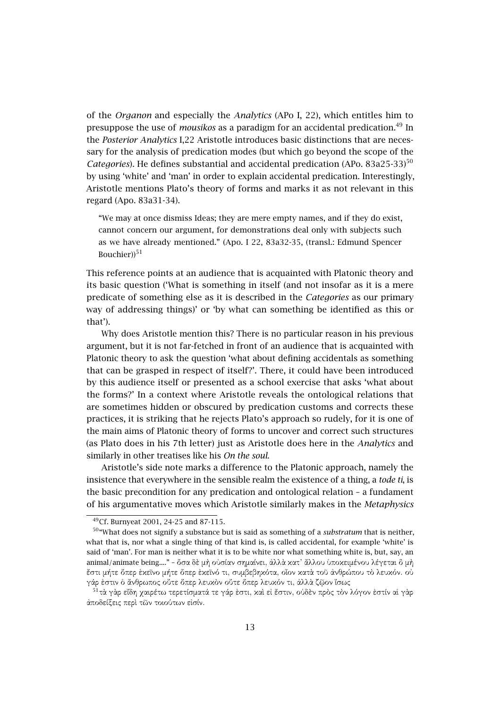of the *Organon* and especially the *Analytics* (APo I, 22), which entitles him to presuppose the use of *mousikos* as a paradigm for an accidental predication.<sup>49</sup> In the *Posterior Analytics* I,22 Aristotle introduces basic distinctions that are necessary for the analysis of predication modes (but which go beyond the scope of the *Categories*). He defines substantial and accidental predication (APo. 83a25-33)<sup>50</sup> by using 'white' and 'man' in order to explain accidental predication. Interestingly, Aristotle mentions Plato's theory of forms and marks it as not relevant in this regard (Apo. 83a31-34).

"We may at once dismiss Ideas; they are mere empty names, and if they do exist, cannot concern our argument, for demonstrations deal only with subjects such as we have already mentioned." (Apo. I 22, 83a32-35, (transl.: Edmund Spencer Bouchier $)^{51}$ 

This reference points at an audience that is acquainted with Platonic theory and its basic question ('What is something in itself (and not insofar as it is a mere predicate of something else as it is described in the *Categories* as our primary way of addressing things)' or 'by what can something be identified as this or that').

Why does Aristotle mention this? There is no particular reason in his previous argument, but it is not far-fetched in front of an audience that is acquainted with Platonic theory to ask the question 'what about defining accidentals as something that can be grasped in respect of itself?'. There, it could have been introduced by this audience itself or presented as a school exercise that asks 'what about the forms?' In a context where Aristotle reveals the ontological relations that are sometimes hidden or obscured by predication customs and corrects these practices, it is striking that he rejects Plato's approach so rudely, for it is one of the main aims of Platonic theory of forms to uncover and correct such structures (as Plato does in his 7th letter) just as Aristotle does here in the *Analytics* and similarly in other treatises like his *On the soul*.

Aristotle's side note marks a difference to the Platonic approach, namely the insistence that everywhere in the sensible realm the existence of a thing, a *tode ti*, is the basic precondition for any predication and ontological relation – a fundament of his argumentative moves which Aristotle similarly makes in the *Metaphysics*

<sup>49</sup>Cf. Burnyeat 2001, 24-25 and 87-115.

<sup>50</sup>"What does not signify a substance but is said as something of a *substratum* that is neither, what that is, nor what a single thing of that kind is, is called accidental, for example 'white' is said of 'man'. For man is neither what it is to be white nor what something white is, but, say, an animal/animate being...." – ὅσα δὲ µὴ οὐσίαν σηµαίνει, ἀλλὰ κατ' ἄλλου ὑποκειµένου λέγεται ὃ µὴ ἔστι µήτε ὅπερ ἐκεῖνο µήτε ὅπερ ἐκεῖνό τι, συµβεβηκότα, οἷον κατὰ τοῦ ἀνθρώπου τὸ λευκόν. οὐ γάρ ἐστιν ὁ ἄνθρωπος οὔτε ὅπερ λευκὸν οὔτε ὅπερ λευκόν τι, ἀλλὰ ζῷον ἴσως

<sup>51</sup>τὰ γὰρ εἴδη χαιρέτω τερετίσµατά τε γάρ ἐστι, καὶ εἰ ἔστιν, οὐδὲν πρὸς τὸν λόγον ἐστίν αἱ γὰρ ἀποδείξεις περὶ τῶν τοιούτων εἰσίν.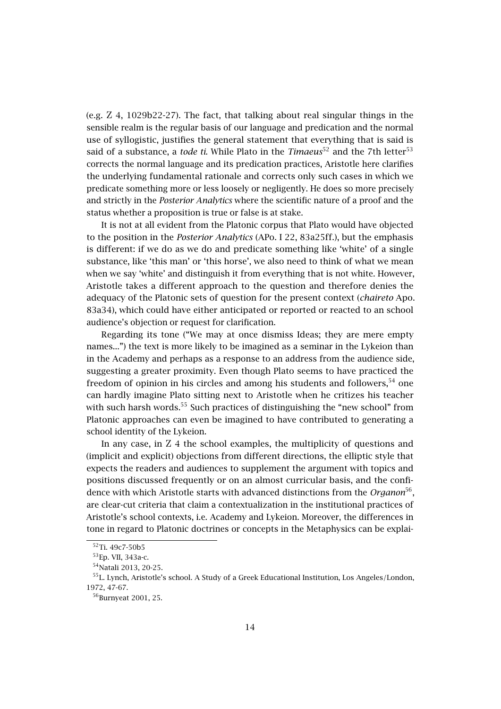(e.g. Ζ 4, 1029b22-27). The fact, that talking about real singular things in the sensible realm is the regular basis of our language and predication and the normal use of syllogistic, justifies the general statement that everything that is said is said of a substance, a *tode ti*. While Plato in the *Timaeus*<sup>52</sup> and the 7th letter<sup>53</sup> corrects the normal language and its predication practices, Aristotle here clarifies the underlying fundamental rationale and corrects only such cases in which we predicate something more or less loosely or negligently. He does so more precisely and strictly in the *Posterior Analytics* where the scientific nature of a proof and the status whether a proposition is true or false is at stake.

It is not at all evident from the Platonic corpus that Plato would have objected to the position in the *Posterior Analytics* (APo. I 22, 83a25ff.), but the emphasis is different: if we do as we do and predicate something like 'white' of a single substance, like 'this man' or 'this horse', we also need to think of what we mean when we say 'white' and distinguish it from everything that is not white. However, Aristotle takes a different approach to the question and therefore denies the adequacy of the Platonic sets of question for the present context (*chaireto* Apo. 83a34), which could have either anticipated or reported or reacted to an school audience's objection or request for clarification.

Regarding its tone ("We may at once dismiss Ideas; they are mere empty names...") the text is more likely to be imagined as a seminar in the Lykeion than in the Academy and perhaps as a response to an address from the audience side, suggesting a greater proximity. Even though Plato seems to have practiced the freedom of opinion in his circles and among his students and followers,<sup>54</sup> one can hardly imagine Plato sitting next to Aristotle when he critizes his teacher with such harsh words.<sup>55</sup> Such practices of distinguishing the "new school" from Platonic approaches can even be imagined to have contributed to generating a school identity of the Lykeion.

In any case, in Ζ 4 the school examples, the multiplicity of questions and (implicit and explicit) objections from different directions, the elliptic style that expects the readers and audiences to supplement the argument with topics and positions discussed frequently or on an almost curricular basis, and the confidence with which Aristotle starts with advanced distinctions from the *Organon*<sup>56</sup>, are clear-cut criteria that claim a contextualization in the institutional practices of Aristotle's school contexts, i.e. Academy and Lykeion. Moreover, the differences in tone in regard to Platonic doctrines or concepts in the Metaphysics can be explai-

<sup>52</sup>Ti. 49c7-50b5

<sup>53</sup>Ep. VII, 343a-c.

<sup>54</sup>Natali 2013, 20-25.

<sup>55</sup>L. Lynch, Aristotle's school. A Study of a Greek Educational Institution, Los Angeles/London, 1972, 47-67.

<sup>&</sup>lt;sup>56</sup>Burnyeat 2001, 25.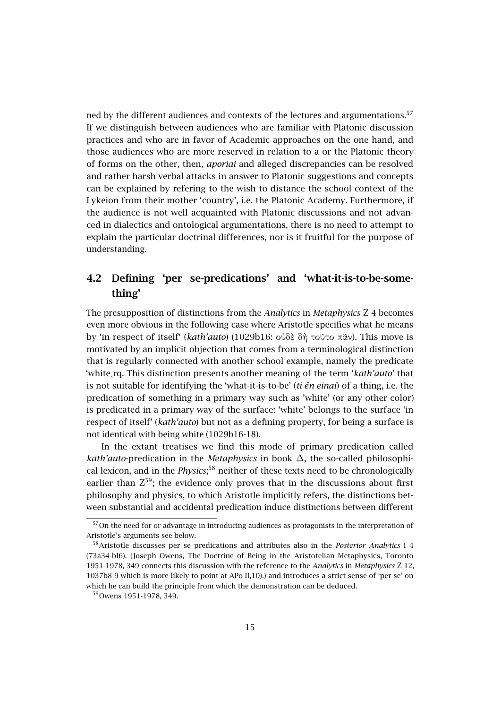ned by the different audiences and contexts of the lectures and argumentations.<sup>57</sup> If we distinguish between audiences who are familiar with Platonic discussion practices and who are in favor of Academic approaches on the one hand, and those audiences who are more reserved in relation to a or the Platonic theory of forms on the other, then, *aporiai* and alleged discrepancies can be resolved and rather harsh verbal attacks in answer to Platonic suggestions and concepts can be explained by refering to the wish to distance the school context of the Lykeion from their mother 'country', i.e. the Platonic Academy. Furthermore, if the audience is not well acquainted with Platonic discussions and not advanced in dialectics and ontological argumentations, there is no need to attempt to explain the particular doctrinal differences, nor is it fruitful for the purpose of understanding.

#### **4.2 Defining 'per se-predications' and 'what-it-is-to-be-something'**

The presupposition of distinctions from the *Analytics* in *Metaphysics* Ζ 4 becomes even more obvious in the following case where Aristotle specifies what he means by 'in respect of itself' (*kath'auto*) (1029b16: οὐδὲ δὴ τοῦτο πᾶν). This move is motivated by an implicit objection that comes from a terminological distinction that is regularly connected with another school example, namely the predicate 'white¸rq. This distinction presents another meaning of the term '*kath'auto*' that is not suitable for identifying the 'what-it-is-to-be' (*ti ên einai*) of a thing, i.e. the predication of something in a primary way such as 'white' (or any other color) is predicated in a primary way of the surface: 'white' belongs to the surface 'in respect of itself' (*kath'auto*) but not as a defining property, for being a surface is not identical with being white (1029b16-18).

In the extant treatises we find this mode of primary predication called *kath'auto*-predication in the *Metaphysics* in book ∆, the so-called philosophical lexicon, and in the *Physics*; <sup>58</sup> neither of these texts need to be chronologically earlier than  $Z^{59}$ ; the evidence only proves that in the discussions about first philosophy and physics, to which Aristotle implicitly refers, the distinctions between substantial and accidental predication induce distinctions between different

<sup>&</sup>lt;sup>57</sup>On the need for or advantage in introducing audiences as protagonists in the interpretation of Aristotle's arguments see below.

<sup>58</sup>Aristotle discusses per se predications and attributes also in the *Posterior Analytics* I 4 (73a34-bl6). (Joseph Owens, The Doctrine of Being in the Aristotelian Metaphysics, Toronto 1951-1978, 349 connects this discussion with the reference to the *Analytics* in *Metaphysics* Ζ 12, 1037b8-9 which is more likely to point at APo II,10).) and introduces a strict sense of 'per se' on which he can build the principle from which the demonstration can be deduced.

<sup>59</sup>Owens 1951-1978, 349.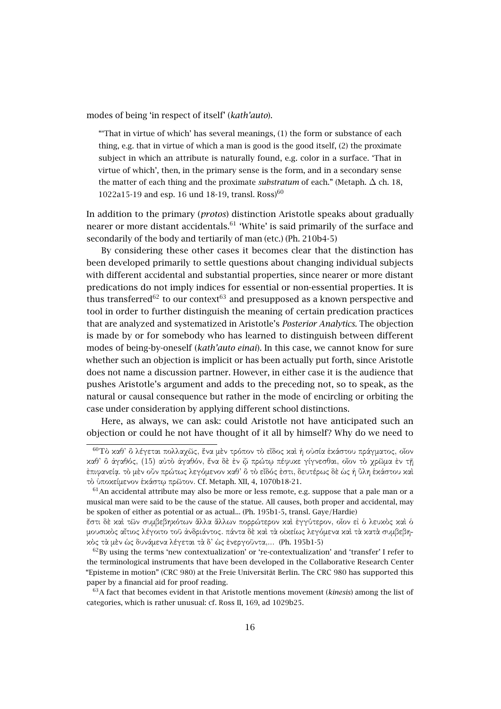modes of being 'in respect of itself' (*kath'auto*).

"'That in virtue of which' has several meanings, (1) the form or substance of each thing, e.g. that in virtue of which a man is good is the good itself, (2) the proximate subject in which an attribute is naturally found, e.g. color in a surface. 'That in virtue of which', then, in the primary sense is the form, and in a secondary sense the matter of each thing and the proximate *substratum* of each." (Metaph.  $\Delta$  ch. 18, 1022a15-19 and esp. 16 und 18-19, transl. Ross $60$ 

In addition to the primary (*protos*) distinction Aristotle speaks about gradually nearer or more distant accidentals.<sup>61</sup> 'White' is said primarily of the surface and secondarily of the body and tertiarily of man (etc.) (Ph. 210b4-5)

By considering these other cases it becomes clear that the distinction has been developed primarily to settle questions about changing individual subjects with different accidental and substantial properties, since nearer or more distant predications do not imply indices for essential or non-essential properties. It is thus transferred<sup>62</sup> to our context<sup>63</sup> and presupposed as a known perspective and tool in order to further distinguish the meaning of certain predication practices that are analyzed and systematized in Aristotle's *Posterior Analytics*. The objection is made by or for somebody who has learned to distinguish between different modes of being-by-oneself (*kath'auto einai*). In this case, we cannot know for sure whether such an objection is implicit or has been actually put forth, since Aristotle does not name a discussion partner. However, in either case it is the audience that pushes Aristotle's argument and adds to the preceding not, so to speak, as the natural or causal consequence but rather in the mode of encircling or orbiting the case under consideration by applying different school distinctions.

Here, as always, we can ask: could Aristotle not have anticipated such an objection or could he not have thought of it all by himself? Why do we need to

<sup>60</sup>Τὸ καθ' ὃ λέγεται πολλαχῶς, ἕνα µὲν τρόπον τὸ εἶδος καὶ ἡ οὐσία ἑκάστου πράγµατος, οἷον καθ' ὃ ἀγαθός, (15) αὐτὸ ἀγαθόν, ἕνα δὲ ἐν ᾧ πρώτῳ πέφυκε γίγνεσθαι, οἷον τὸ χρῶµα ἐν τῇ ἐπιφανείᾳ. τὸ µὲν οὖν πρώτως λεγόµενον καθ' ὃ τὸ εἶδός ἐστι, δευτέρως δὲ ὡς ἡ ὕλη ἑκάστου καὶ τὸ ὑποκείµενον ἑκάστῳ πρῶτον. Cf. Metaph. XII, 4, 1070b18-21.

 $61$ An accidental attribute may also be more or less remote, e.g. suppose that a pale man or a musical man were said to be the cause of the statue. All causes, both proper and accidental, may be spoken of either as potential or as actual... (Ph. 195b1-5, transl. Gaye/Hardie)

ἔστι δὲ καὶ τῶν συµβεβηκότων ἄλλα ἄλλων πορρώτερον καὶ ἐγγύτερον, οἷον εἰ ὁ λευκὸς καὶ ὁ µουσικὸς αἴτιος λέγοιτο τοῦ ἀνδριάντος. πάντα δὲ καὶ τὰ οἰκείως λεγόµενα καὶ τὰ κατὰ συµβεβηκὸς τὰ µὲν ὡς δυνάµενα λέγεται τὰ δ' ὡς ἐνεργοῦντα,... (Ph. 195b1-5)

 $62$ By using the terms 'new contextualization' or 're-contextualization' and 'transfer' I refer to the terminological instruments that have been developed in the Collaborative Research Center "Episteme in motion" (CRC 980) at the Freie Universität Berlin. The CRC 980 has supported this paper by a financial aid for proof reading.

<sup>63</sup>A fact that becomes evident in that Aristotle mentions movement (*kinesis*) among the list of categories, which is rather unusual: cf. Ross II, 169, ad 1029b25.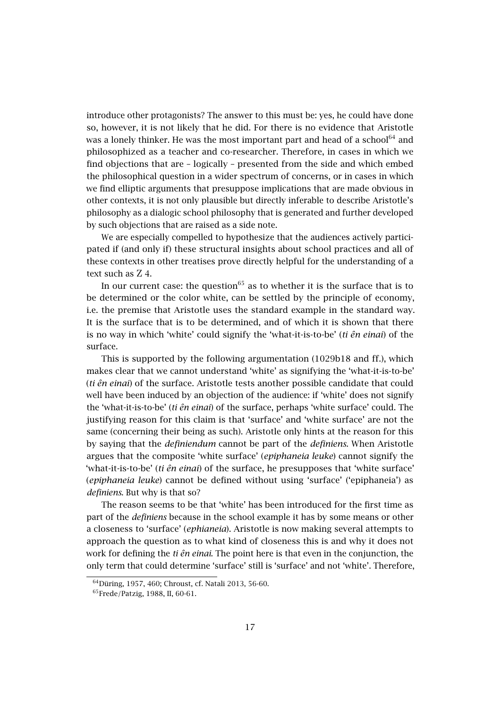introduce other protagonists? The answer to this must be: yes, he could have done so, however, it is not likely that he did. For there is no evidence that Aristotle was a lonely thinker. He was the most important part and head of a school<sup>64</sup> and philosophized as a teacher and co-researcher. Therefore, in cases in which we find objections that are – logically – presented from the side and which embed the philosophical question in a wider spectrum of concerns, or in cases in which we find elliptic arguments that presuppose implications that are made obvious in other contexts, it is not only plausible but directly inferable to describe Aristotle's philosophy as a dialogic school philosophy that is generated and further developed by such objections that are raised as a side note.

We are especially compelled to hypothesize that the audiences actively participated if (and only if) these structural insights about school practices and all of these contexts in other treatises prove directly helpful for the understanding of a text such as Ζ 4.

In our current case: the question<sup>65</sup> as to whether it is the surface that is to be determined or the color white, can be settled by the principle of economy, i.e. the premise that Aristotle uses the standard example in the standard way. It is the surface that is to be determined, and of which it is shown that there is no way in which 'white' could signify the 'what-it-is-to-be' (*ti ên einai*) of the surface.

This is supported by the following argumentation (1029b18 and ff.), which makes clear that we cannot understand 'white' as signifying the 'what-it-is-to-be' (*ti ên einai*) of the surface. Aristotle tests another possible candidate that could well have been induced by an objection of the audience: if 'white' does not signify the 'what-it-is-to-be' (*ti ên einai*) of the surface, perhaps 'white surface' could. The justifying reason for this claim is that 'surface' and 'white surface' are not the same (concerning their being as such). Aristotle only hints at the reason for this by saying that the *definiendum* cannot be part of the *definiens*. When Aristotle argues that the composite 'white surface' (*epiphaneia leuke*) cannot signify the 'what-it-is-to-be' (*ti ên einai*) of the surface, he presupposes that 'white surface' (*epiphaneia leuke*) cannot be defined without using 'surface' ('epiphaneia') as *definiens*. But why is that so?

The reason seems to be that 'white' has been introduced for the first time as part of the *definiens* because in the school example it has by some means or other a closeness to 'surface' (*ephianeia*). Aristotle is now making several attempts to approach the question as to what kind of closeness this is and why it does not work for defining the *ti ên einai*. The point here is that even in the conjunction, the only term that could determine 'surface' still is 'surface' and not 'white'. Therefore,

<sup>64</sup>Düring, 1957, 460; Chroust, cf. Natali 2013, 56-60.

<sup>65</sup>Frede/Patzig, 1988, II, 60-61.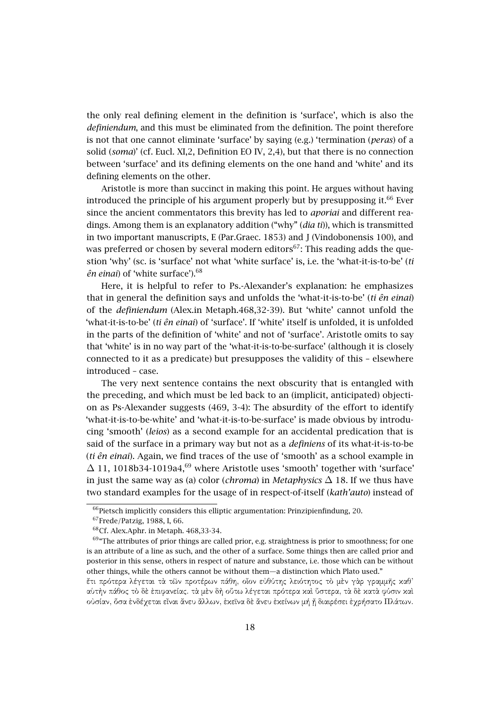the only real defining element in the definition is 'surface', which is also the *definiendum*, and this must be eliminated from the definition. The point therefore is not that one cannot eliminate 'surface' by saying (e.g.) 'termination (*peras*) of a solid (*soma*)' (cf. Eucl. XI,2, Definition EO IV, 2,4), but that there is no connection between 'surface' and its defining elements on the one hand and 'white' and its defining elements on the other.

Aristotle is more than succinct in making this point. He argues without having introduced the principle of his argument properly but by presupposing it. $66$  Ever since the ancient commentators this brevity has led to *aporiai* and different readings. Among them is an explanatory addition ("why" (*dia ti*)), which is transmitted in two important manuscripts, E (Par.Graec. 1853) and J (Vindobonensis 100), and was preferred or chosen by several modern editors<sup>67</sup>: This reading adds the question 'why' (sc. is 'surface' not what 'white surface' is, i.e. the 'what-it-is-to-be' (*ti ên einai*) of 'white surface').<sup>68</sup>

Here, it is helpful to refer to Ps.-Alexander's explanation: he emphasizes that in general the definition says and unfolds the 'what-it-is-to-be' (*ti ên einai*) of the *definiendum* (Alex.in Metaph.468,32-39). But 'white' cannot unfold the 'what-it-is-to-be' (*ti ên einai*) of 'surface'. If 'white' itself is unfolded, it is unfolded in the parts of the definition of 'white' and not of 'surface'. Aristotle omits to say that 'white' is in no way part of the 'what-it-is-to-be-surface' (although it is closely connected to it as a predicate) but presupposes the validity of this – elsewhere introduced – case.

The very next sentence contains the next obscurity that is entangled with the preceding, and which must be led back to an (implicit, anticipated) objection as Ps-Alexander suggests (469, 3-4): The absurdity of the effort to identify 'what-it-is-to-be-white' and 'what-it-is-to-be-surface' is made obvious by introducing 'smooth' (*leios*) as a second example for an accidental predication that is said of the surface in a primary way but not as a *definiens* of its what-it-is-to-be (*ti ên einai*). Again, we find traces of the use of 'smooth' as a school example in  $\Delta$  11, 1018b34-1019a4,<sup>69</sup> where Aristotle uses 'smooth' together with 'surface' in just the same way as (a) color (*chroma*) in *Metaphysics* ∆ 18. If we thus have two standard examples for the usage of in respect-of-itself (*kath'auto*) instead of

 $66$ Pietsch implicitly considers this elliptic argumentation: Prinzipienfindung, 20.

<sup>67</sup>Frede/Patzig, 1988, I, 66.

<sup>68</sup>Cf. Alex.Aphr. in Metaph. 468,33-34.

 $69$  The attributes of prior things are called prior, e.g. straightness is prior to smoothness; for one is an attribute of a line as such, and the other of a surface. Some things then are called prior and posterior in this sense, others in respect of nature and substance, i.e. those which can be without other things, while the others cannot be without them—a distinction which Plato used."

ἔτι πρότερα λέγεται τὰ τῶν προτέρων πάθη, οἷον εὐθύτης λειότητος τὸ µὲν γὰρ γραµµῆς καθ' αὑτὴν πάθος τὸ δὲ ἐπιφανείας. τὰ µὲν δὴ οὕτω λέγεται πρότερα καὶ ὕστερα, τὰ δὲ κατὰ φύσιν καὶ οὐσίαν, ὅσα ἐνδέχεται εἶναι ἄνευ ἄλλων, ἐκεῖνα δὲ ἄνευ ἐκείνων µή ᾗ διαιρέσει ἐχρήσατο Πλάτων.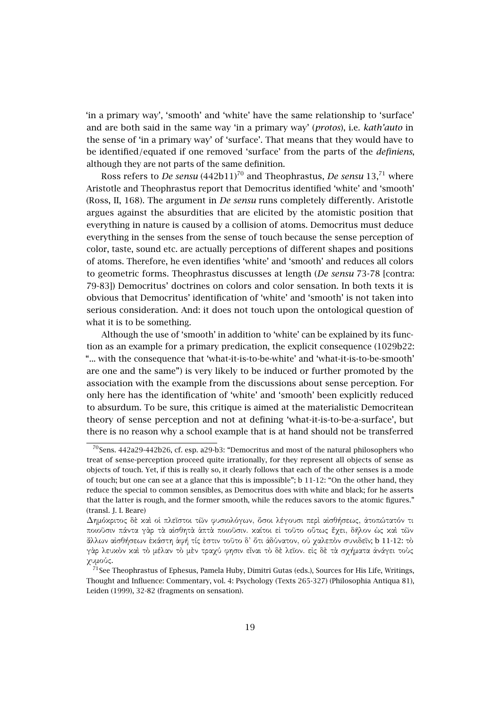'in a primary way', 'smooth' and 'white' have the same relationship to 'surface' and are both said in the same way 'in a primary way' (*protos*), i.e. *kath'auto* in the sense of 'in a primary way' of 'surface'. That means that they would have to be identified/equated if one removed 'surface' from the parts of the *definiens*, although they are not parts of the same definition.

Ross refers to *De sensu* (442b11)<sup>70</sup> and Theophrastus, *De sensu* 13,<sup>71</sup> where Aristotle and Theophrastus report that Democritus identified 'white' and 'smooth' (Ross, II, 168). The argument in *De sensu* runs completely differently. Aristotle argues against the absurdities that are elicited by the atomistic position that everything in nature is caused by a collision of atoms. Democritus must deduce everything in the senses from the sense of touch because the sense perception of color, taste, sound etc. are actually perceptions of different shapes and positions of atoms. Therefore, he even identifies 'white' and 'smooth' and reduces all colors to geometric forms. Theophrastus discusses at length (*De sensu* 73-78 [contra: 79-83]) Democritus' doctrines on colors and color sensation. In both texts it is obvious that Democritus' identification of 'white' and 'smooth' is not taken into serious consideration. And: it does not touch upon the ontological question of what it is to be something.

Although the use of 'smooth' in addition to 'white' can be explained by its function as an example for a primary predication, the explicit consequence (1029b22: "... with the consequence that 'what-it-is-to-be-white' and 'what-it-is-to-be-smooth' are one and the same") is very likely to be induced or further promoted by the association with the example from the discussions about sense perception. For only here has the identification of 'white' and 'smooth' been explicitly reduced to absurdum. To be sure, this critique is aimed at the materialistic Democritean theory of sense perception and not at defining 'what-it-is-to-be-a-surface', but there is no reason why a school example that is at hand should not be transferred

<sup>70</sup>Sens. 442a29-442b26, cf. esp. a29-b3: "Democritus and most of the natural philosophers who treat of sense-perception proceed quite irrationally, for they represent all objects of sense as objects of touch. Yet, if this is really so, it clearly follows that each of the other senses is a mode of touch; but one can see at a glance that this is impossible"; b 11-12: "On the other hand, they reduce the special to common sensibles, as Democritus does with white and black; for he asserts that the latter is rough, and the former smooth, while the reduces savors to the atomic figures." (transl. J. I. Beare)

<sup>∆</sup>ηµόκριτος δὲ καὶ οἱ πλεῖστοι τῶν φυσιολόγων, ὅσοι λέγουσι περὶ αἰσθήσεως, ἀτοπώτατόν τι ποιοῦσιν πάντα γὰρ τὰ αἰσθητὰ ἁπτὰ ποιοῦσιν. καίτοι εἰ τοῦτο οὕτως ἔχει, δῆλον ὡς καὶ τῶν ἄλλων αἰσθήσεων ἑκάστη ἁφή τίς ἐστιν τοῦτο δ' ὅτι ἀδύνατον, οὐ χαλεπὸν συνιδεῖν; b 11-12: τὸ γὰρ λευκὸν καὶ τὸ µέλαν τὸ µὲν τραχύ φησιν εἶναι τὸ δὲ λεῖον. εἰς δὲ τὰ σχήµατα ἀνάγει τοὺς χυµούς.

<sup>71</sup>See Theophrastus of Ephesus, Pamela Huby, Dimitri Gutas (eds.), Sources for His Life, Writings, Thought and Influence: Commentary, vol. 4: Psychology (Texts 265-327) (Philosophia Antiqua 81), Leiden (1999), 32-82 (fragments on sensation).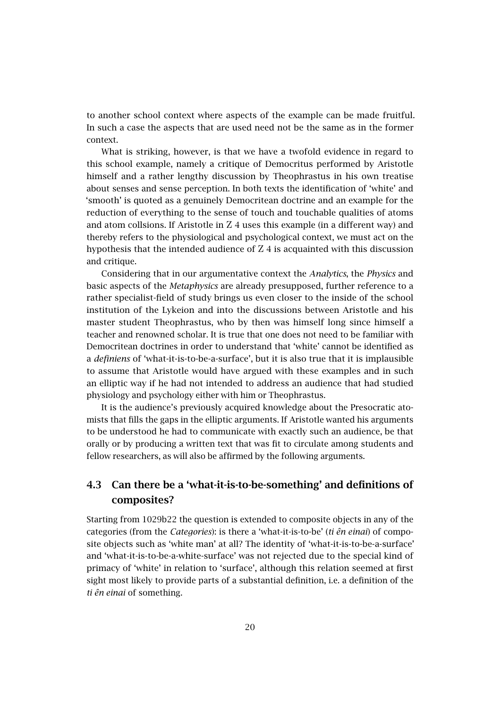to another school context where aspects of the example can be made fruitful. In such a case the aspects that are used need not be the same as in the former context.

What is striking, however, is that we have a twofold evidence in regard to this school example, namely a critique of Democritus performed by Aristotle himself and a rather lengthy discussion by Theophrastus in his own treatise about senses and sense perception. In both texts the identification of 'white' and 'smooth' is quoted as a genuinely Democritean doctrine and an example for the reduction of everything to the sense of touch and touchable qualities of atoms and atom collsions. If Aristotle in Ζ 4 uses this example (in a different way) and thereby refers to the physiological and psychological context, we must act on the hypothesis that the intended audience of Ζ 4 is acquainted with this discussion and critique.

Considering that in our argumentative context the *Analytics*, the *Physics* and basic aspects of the *Metaphysics* are already presupposed, further reference to a rather specialist-field of study brings us even closer to the inside of the school institution of the Lykeion and into the discussions between Aristotle and his master student Theophrastus, who by then was himself long since himself a teacher and renowned scholar. It is true that one does not need to be familiar with Democritean doctrines in order to understand that 'white' cannot be identified as a *definiens* of 'what-it-is-to-be-a-surface', but it is also true that it is implausible to assume that Aristotle would have argued with these examples and in such an elliptic way if he had not intended to address an audience that had studied physiology and psychology either with him or Theophrastus.

It is the audience's previously acquired knowledge about the Presocratic atomists that fills the gaps in the elliptic arguments. If Aristotle wanted his arguments to be understood he had to communicate with exactly such an audience, be that orally or by producing a written text that was fit to circulate among students and fellow researchers, as will also be affirmed by the following arguments.

#### **4.3 Can there be a 'what-it-is-to-be-something' and definitions of composites?**

Starting from 1029b22 the question is extended to composite objects in any of the categories (from the *Categories*): is there a 'what-it-is-to-be' (*ti ên einai*) of composite objects such as 'white man' at all? The identity of 'what-it-is-to-be-a-surface' and 'what-it-is-to-be-a-white-surface' was not rejected due to the special kind of primacy of 'white' in relation to 'surface', although this relation seemed at first sight most likely to provide parts of a substantial definition, i.e. a definition of the *ti ên einai* of something.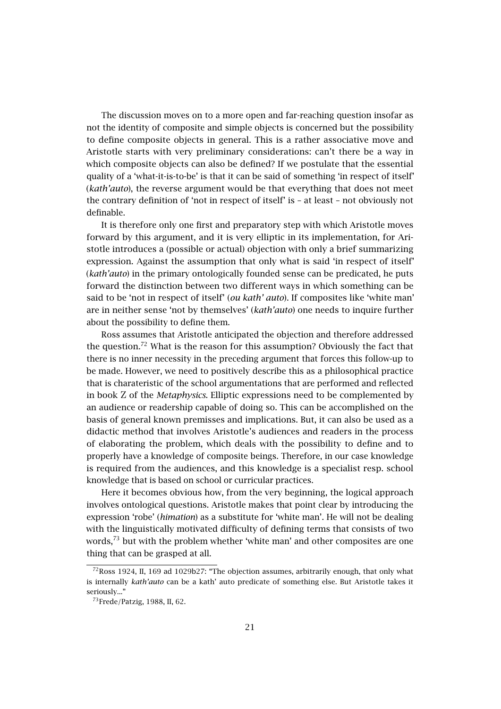The discussion moves on to a more open and far-reaching question insofar as not the identity of composite and simple objects is concerned but the possibility to define composite objects in general. This is a rather associative move and Aristotle starts with very preliminary considerations: can't there be a way in which composite objects can also be defined? If we postulate that the essential quality of a 'what-it-is-to-be' is that it can be said of something 'in respect of itself' (*kath'auto*), the reverse argument would be that everything that does not meet the contrary definition of 'not in respect of itself' is – at least – not obviously not definable.

It is therefore only one first and preparatory step with which Aristotle moves forward by this argument, and it is very elliptic in its implementation, for Aristotle introduces a (possible or actual) objection with only a brief summarizing expression. Against the assumption that only what is said 'in respect of itself' (*kath'auto*) in the primary ontologically founded sense can be predicated, he puts forward the distinction between two different ways in which something can be said to be 'not in respect of itself' (*ou kath' auto*). If composites like 'white man' are in neither sense 'not by themselves' (*kath'auto*) one needs to inquire further about the possibility to define them.

Ross assumes that Aristotle anticipated the objection and therefore addressed the question.<sup>72</sup> What is the reason for this assumption? Obviously the fact that there is no inner necessity in the preceding argument that forces this follow-up to be made. However, we need to positively describe this as a philosophical practice that is charateristic of the school argumentations that are performed and reflected in book Ζ of the *Metaphysics*. Elliptic expressions need to be complemented by an audience or readership capable of doing so. This can be accomplished on the basis of general known premisses and implications. But, it can also be used as a didactic method that involves Aristotle's audiences and readers in the process of elaborating the problem, which deals with the possibility to define and to properly have a knowledge of composite beings. Therefore, in our case knowledge is required from the audiences, and this knowledge is a specialist resp. school knowledge that is based on school or curricular practices.

Here it becomes obvious how, from the very beginning, the logical approach involves ontological questions. Aristotle makes that point clear by introducing the expression 'robe' (*himation*) as a substitute for 'white man'. He will not be dealing with the linguistically motivated difficulty of defining terms that consists of two words,<sup>73</sup> but with the problem whether 'white man' and other composites are one thing that can be grasped at all.

 $72$ Ross 1924, II, 169 ad 1029b27: "The objection assumes, arbitrarily enough, that only what is internally *kath'auto* can be a kath' auto predicate of something else. But Aristotle takes it seriously..."

 $73$ Frede/Patzig, 1988, II, 62.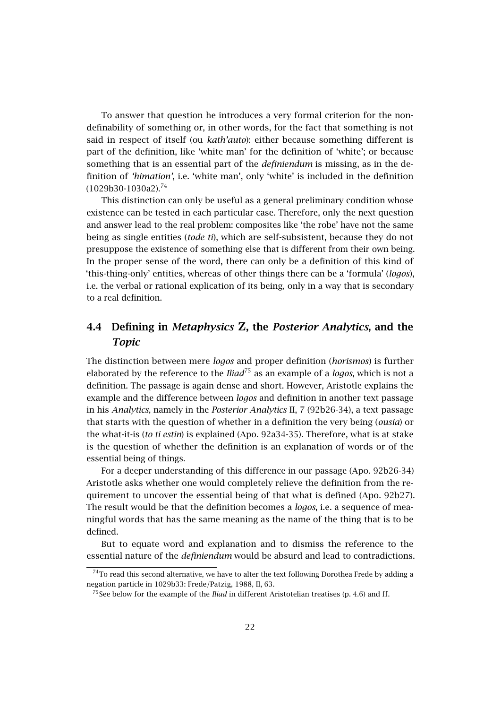To answer that question he introduces a very formal criterion for the nondefinability of something or, in other words, for the fact that something is not said in respect of itself (ou *kath'auto*): either because something different is part of the definition, like 'white man' for the definition of 'white'; or because something that is an essential part of the *definiendum* is missing, as in the definition of *'himation'*, i.e. 'white man', only 'white' is included in the definition  $(1029b30-1030a2).<sup>74</sup>$ 

This distinction can only be useful as a general preliminary condition whose existence can be tested in each particular case. Therefore, only the next question and answer lead to the real problem: composites like 'the robe' have not the same being as single entities (*tode ti*), which are self-subsistent, because they do not presuppose the existence of something else that is different from their own being. In the proper sense of the word, there can only be a definition of this kind of 'this-thing-only' entities, whereas of other things there can be a 'formula' (*logos*), i.e. the verbal or rational explication of its being, only in a way that is secondary to a real definition.

#### **4.4 Defining in** *Metaphysics* **Ζ, the** *Posterior Analytics***, and the** *Topic*

The distinction between mere *logos* and proper definition (*horismos*) is further elaborated by the reference to the *Iliad*<sup>75</sup> as an example of a *logos*, which is not a definition. The passage is again dense and short. However, Aristotle explains the example and the difference between *logos* and definition in another text passage in his *Analytics*, namely in the *Posterior Analytics* II, 7 (92b26-34), a text passage that starts with the question of whether in a definition the very being (*ousia*) or the what-it-is (*to ti estin*) is explained (Apo. 92a34-35). Therefore, what is at stake is the question of whether the definition is an explanation of words or of the essential being of things.

For a deeper understanding of this difference in our passage (Apo. 92b26-34) Aristotle asks whether one would completely relieve the definition from the requirement to uncover the essential being of that what is defined (Apo. 92b27). The result would be that the definition becomes a *logos*, i.e. a sequence of meaningful words that has the same meaning as the name of the thing that is to be defined.

But to equate word and explanation and to dismiss the reference to the essential nature of the *definiendum* would be absurd and lead to contradictions.

 $74$ To read this second alternative, we have to alter the text following Dorothea Frede by adding a negation particle in 1029b33: Frede/Patzig, 1988, II, 63.

<sup>75</sup>See below for the example of the *Iliad* in different Aristotelian treatises (p. 4.6) and ff.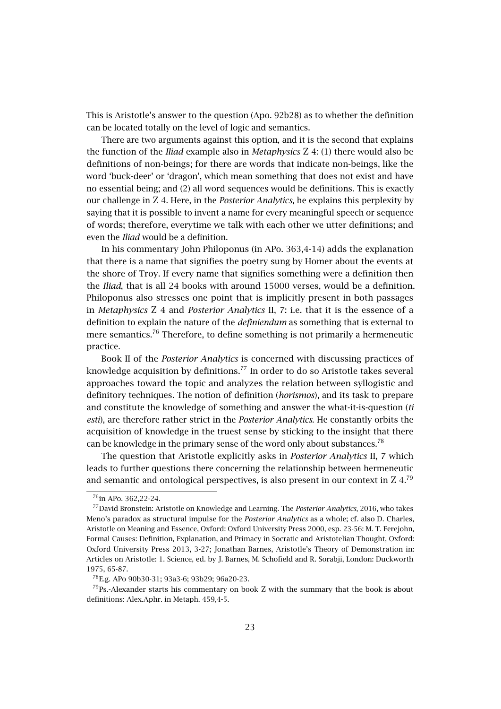This is Aristotle's answer to the question (Apo. 92b28) as to whether the definition can be located totally on the level of logic and semantics.

There are two arguments against this option, and it is the second that explains the function of the *Iliad* example also in *Metaphysics* Ζ 4: (1) there would also be definitions of non-beings; for there are words that indicate non-beings, like the word 'buck-deer' or 'dragon', which mean something that does not exist and have no essential being; and (2) all word sequences would be definitions. This is exactly our challenge in Ζ 4. Here, in the *Posterior Analytics*, he explains this perplexity by saying that it is possible to invent a name for every meaningful speech or sequence of words; therefore, everytime we talk with each other we utter definitions; and even the *Iliad* would be a definition.

In his commentary John Philoponus (in APo. 363,4-14) adds the explanation that there is a name that signifies the poetry sung by Homer about the events at the shore of Troy. If every name that signifies something were a definition then the *Iliad*, that is all 24 books with around 15000 verses, would be a definition. Philoponus also stresses one point that is implicitly present in both passages in *Metaphysics* Ζ 4 and *Posterior Analytics* II, 7: i.e. that it is the essence of a definition to explain the nature of the *definiendum* as something that is external to mere semantics.<sup>76</sup> Therefore, to define something is not primarily a hermeneutic practice.

Book II of the *Posterior Analytics* is concerned with discussing practices of knowledge acquisition by definitions.<sup>77</sup> In order to do so Aristotle takes several approaches toward the topic and analyzes the relation between syllogistic and definitory techniques. The notion of definition (*horismos*), and its task to prepare and constitute the knowledge of something and answer the what-it-is-question (*ti esti*), are therefore rather strict in the *Posterior Analytics*. He constantly orbits the acquisition of knowledge in the truest sense by sticking to the insight that there can be knowledge in the primary sense of the word only about substances.<sup>78</sup>

The question that Aristotle explicitly asks in *Posterior Analytics* II, 7 which leads to further questions there concerning the relationship between hermeneutic and semantic and ontological perspectives, is also present in our context in  $Z$  4.<sup>79</sup>

<sup>76</sup>in APo. 362,22-24.

<sup>77</sup>David Bronstein: Aristotle on Knowledge and Learning. The *Posterior Analytics*, 2016, who takes Meno's paradox as structural impulse for the *Posterior Analytics* as a whole; cf. also D. Charles, Aristotle on Meaning and Essence, Oxford: Oxford University Press 2000, esp. 23-56: M. T. Ferejohn, Formal Causes: Definition, Explanation, and Primacy in Socratic and Aristotelian Thought, Oxford: Oxford University Press 2013, 3-27; Jonathan Barnes, Aristotle's Theory of Demonstration in: Articles on Aristotle: 1. Science, ed. by J. Barnes, M. Schofield and R. Sorabji, London: Duckworth 1975, 65-87.

<sup>78</sup>E.g. APo 90b30-31; 93a3-6; 93b29; 96a20-23.

 $^{79}$ Ps.-Alexander starts his commentary on book Z with the summary that the book is about definitions: Alex.Aphr. in Metaph. 459,4-5.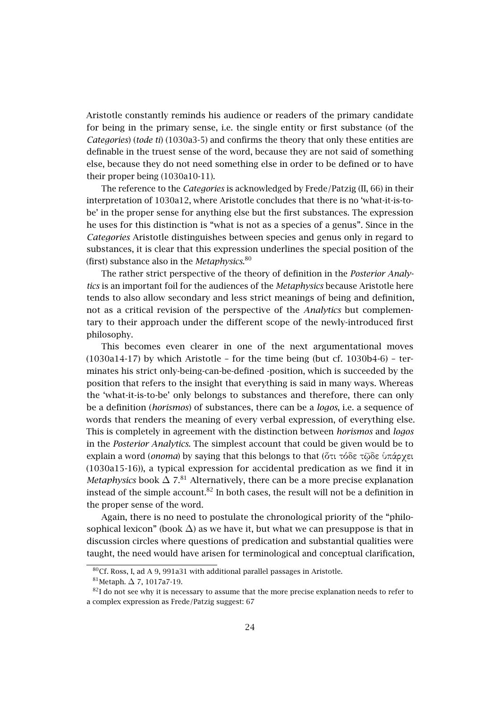Aristotle constantly reminds his audience or readers of the primary candidate for being in the primary sense, i.e. the single entity or first substance (of the *Categories*) (*tode ti*) (1030a3-5) and confirms the theory that only these entities are definable in the truest sense of the word, because they are not said of something else, because they do not need something else in order to be defined or to have their proper being (1030a10-11).

The reference to the *Categories* is acknowledged by Frede/Patzig (II, 66) in their interpretation of 1030a12, where Aristotle concludes that there is no 'what-it-is-tobe' in the proper sense for anything else but the first substances. The expression he uses for this distinction is "what is not as a species of a genus". Since in the *Categories* Aristotle distinguishes between species and genus only in regard to substances, it is clear that this expression underlines the special position of the (first) substance also in the *Metaphysics*. 80

The rather strict perspective of the theory of definition in the *Posterior Analytics* is an important foil for the audiences of the *Metaphysics* because Aristotle here tends to also allow secondary and less strict meanings of being and definition, not as a critical revision of the perspective of the *Analytics* but complementary to their approach under the different scope of the newly-introduced first philosophy.

This becomes even clearer in one of the next argumentational moves  $(1030a14-17)$  by which Aristotle – for the time being (but cf. 1030b4-6) – terminates his strict only-being-can-be-defined -position, which is succeeded by the position that refers to the insight that everything is said in many ways. Whereas the 'what-it-is-to-be' only belongs to substances and therefore, there can only be a definition (*horismos*) of substances, there can be a *logos*, i.e. a sequence of words that renders the meaning of every verbal expression, of everything else. This is completely in agreement with the distinction between *horismos* and *logos* in the *Posterior Analytics*. The simplest account that could be given would be to explain a word (*onoma*) by saying that this belongs to that (ὅτι τόδε τῷδε ὑπάρχει (1030a15-16)), a typical expression for accidental predication as we find it in *Metaphysics* book  $\Delta$  7.<sup>81</sup> Alternatively, there can be a more precise explanation instead of the simple account. $82$  In both cases, the result will not be a definition in the proper sense of the word.

Again, there is no need to postulate the chronological priority of the "philosophical lexicon" (book  $\Delta$ ) as we have it, but what we can presuppose is that in discussion circles where questions of predication and substantial qualities were taught, the need would have arisen for terminological and conceptual clarification,

 $80C$ f. Ross, I, ad A 9, 991a31 with additional parallel passages in Aristotle.

<sup>81</sup>Metaph. ∆ 7, 1017a7-19.

 $82I$  do not see why it is necessary to assume that the more precise explanation needs to refer to a complex expression as Frede/Patzig suggest: 67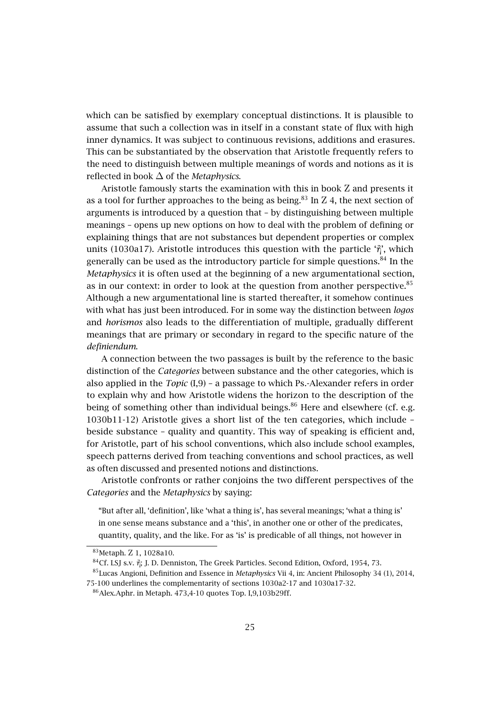which can be satisfied by exemplary conceptual distinctions. It is plausible to assume that such a collection was in itself in a constant state of flux with high inner dynamics. It was subject to continuous revisions, additions and erasures. This can be substantiated by the observation that Aristotle frequently refers to the need to distinguish between multiple meanings of words and notions as it is reflected in book ∆ of the *Metaphysics*.

Aristotle famously starts the examination with this in book Ζ and presents it as a tool for further approaches to the being as being.<sup>83</sup> In  $Z$  4, the next section of arguments is introduced by a question that – by distinguishing between multiple meanings – opens up new options on how to deal with the problem of defining or explaining things that are not substances but dependent properties or complex units (1030a17). Aristotle introduces this question with the particle ' $\hat{\eta}$ ', which generally can be used as the introductory particle for simple questions. $84$  In the *Metaphysics* it is often used at the beginning of a new argumentational section, as in our context: in order to look at the question from another perspective.<sup>85</sup> Although a new argumentational line is started thereafter, it somehow continues with what has just been introduced. For in some way the distinction between *logos* and *horismos* also leads to the differentiation of multiple, gradually different meanings that are primary or secondary in regard to the specific nature of the *definiendum*.

A connection between the two passages is built by the reference to the basic distinction of the *Categories* between substance and the other categories, which is also applied in the *Topic* (I,9) – a passage to which Ps.-Alexander refers in order to explain why and how Aristotle widens the horizon to the description of the being of something other than individual beings. $86$  Here and elsewhere (cf. e.g. 1030b11-12) Aristotle gives a short list of the ten categories, which include – beside substance – quality and quantity. This way of speaking is efficient and, for Aristotle, part of his school conventions, which also include school examples, speech patterns derived from teaching conventions and school practices, as well as often discussed and presented notions and distinctions.

Aristotle confronts or rather conjoins the two different perspectives of the *Categories* and the *Metaphysics* by saying:

"But after all, 'definition', like 'what a thing is', has several meanings; 'what a thing is' in one sense means substance and a 'this', in another one or other of the predicates, quantity, quality, and the like. For as 'is' is predicable of all things, not however in

<sup>83</sup>Metaph. Ζ 1, 1028a10.

<sup>84</sup>Cf. LSJ s.v. ἢ; J. D. Denniston, The Greek Particles. Second Edition, Oxford, 1954, 73.

<sup>85</sup>Lucas Angioni, Definition and Essence in *Metaphysics* Vii 4, in: Ancient Philosophy 34 (1), 2014, 75-100 underlines the complementarity of sections 1030a2-17 and 1030a17-32.

 $86$ Alex.Aphr. in Metaph. 473,4-10 quotes Top. I,9,103b29ff.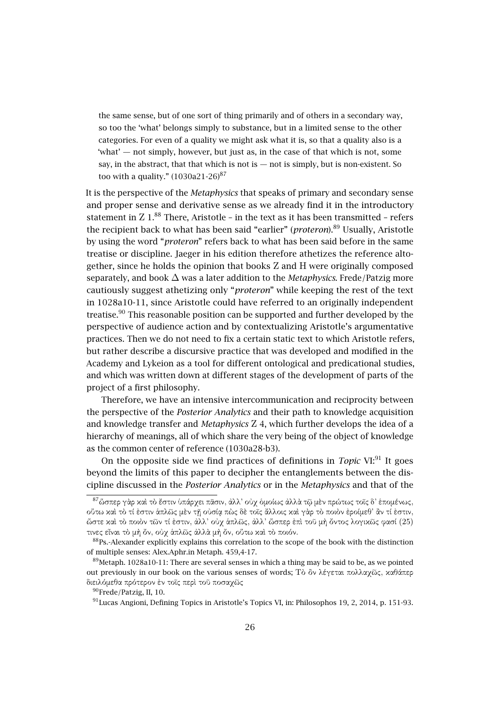the same sense, but of one sort of thing primarily and of others in a secondary way, so too the 'what' belongs simply to substance, but in a limited sense to the other categories. For even of a quality we might ask what it is, so that a quality also is a 'what' — not simply, however, but just as, in the case of that which is not, some say, in the abstract, that that which is not is  $-$  not is simply, but is non-existent. So too with a quality."  $(1030a21-26)^{87}$ 

It is the perspective of the *Metaphysics* that speaks of primary and secondary sense and proper sense and derivative sense as we already find it in the introductory statement in  $Z$  1.<sup>88</sup> There, Aristotle – in the text as it has been transmitted – refers the recipient back to what has been said "earlier" (*proteron*).<sup>89</sup> Usually, Aristotle by using the word "*proteron*" refers back to what has been said before in the same treatise or discipline. Jaeger in his edition therefore athetizes the reference altogether, since he holds the opinion that books Ζ and Η were originally composed separately, and book ∆ was a later addition to the *Metaphysics*. Frede/Patzig more cautiously suggest athetizing only "*proteron*" while keeping the rest of the text in 1028a10-11, since Aristotle could have referred to an originally independent treatise.<sup>90</sup> This reasonable position can be supported and further developed by the perspective of audience action and by contextualizing Aristotle's argumentative practices. Then we do not need to fix a certain static text to which Aristotle refers, but rather describe a discursive practice that was developed and modified in the Academy and Lykeion as a tool for different ontological and predicational studies, and which was written down at different stages of the development of parts of the project of a first philosophy.

Therefore, we have an intensive intercommunication and reciprocity between the perspective of the *Posterior Analytics* and their path to knowledge acquisition and knowledge transfer and *Metaphysics* Ζ 4, which further develops the idea of a hierarchy of meanings, all of which share the very being of the object of knowledge as the common center of reference (1030a28-b3).

On the opposite side we find practices of definitions in *Topic* VI:<sup>91</sup> It goes beyond the limits of this paper to decipher the entanglements between the discipline discussed in the *Posterior Analytics* or in the *Metaphysics* and that of the

<sup>87</sup>ὥσπερ γὰρ καὶ τὸ ἔστιν ὑπάρχει πᾶσιν, ἀλλ' οὐχ ὁµοίως ἀλλὰ τῷ µὲν πρώτως τοῖς δ' ἑποµένως, οὕτω καὶ τὸ τί ἐστιν ἁπλῶς µὲν τῇ οὐσίᾳ πὼς δὲ τοῖς ἄλλοις καὶ γὰρ τὸ ποιὸν ἐροίµεθ' ἂν τί ἐστιν, ὥστε καὶ τὸ ποιὸν τῶν τί ἐστιν, ἀλλ' οὐχ ἁπλῶς, ἀλλ' ὥσπερ ἐπὶ τοῦ µὴ ὄντος λογικῶς φασί (25) τινες εἶναι τὸ µὴ ὄν, οὐχ ἁπλῶς ἀλλὰ µὴ ὄν, οὕτω καὶ τὸ ποιόν.

<sup>88</sup>Ps.-Alexander explicitly explains this correlation to the scope of the book with the distinction of multiple senses: Alex.Aphr.in Metaph. 459,4-17.

 $89$ Metaph. 1028a10-11: There are several senses in which a thing may be said to be, as we pointed out previously in our book on the various senses of words; Τὸ ὂν λέγεται πολλαχῶς, καθάπερ διειλόµεθα πρότερον ἐν τοῖς περὶ τοῦ ποσαχῶς

<sup>90</sup>Frede/Patzig, II, 10.

<sup>91</sup>Lucas Angioni, Defining Topics in Aristotle's Topics VI, in: Philosophos 19, 2, 2014, p. 151-93.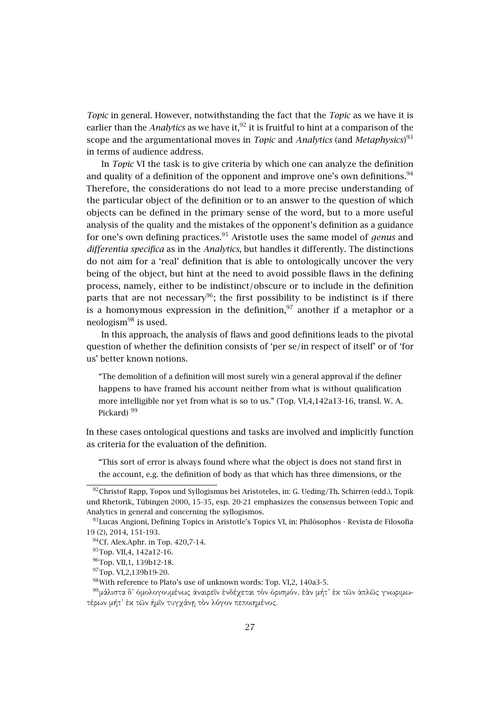*Topic* in general. However, notwithstanding the fact that the *Topic* as we have it is earlier than the *Analytics* as we have it,<sup>92</sup> it is fruitful to hint at a comparison of the scope and the argumentational moves in *Topic* and *Analytics* (and *Metaphysics*) 93 in terms of audience address.

In *Topic* VI the task is to give criteria by which one can analyze the definition and quality of a definition of the opponent and improve one's own definitions.<sup>94</sup> Therefore, the considerations do not lead to a more precise understanding of the particular object of the definition or to an answer to the question of which objects can be defined in the primary sense of the word, but to a more useful analysis of the quality and the mistakes of the opponent's definition as a guidance for one's own defining practices.<sup>95</sup> Aristotle uses the same model of *genus* and *differentia specifica* as in the *Analytics*, but handles it differently. The distinctions do not aim for a 'real' definition that is able to ontologically uncover the very being of the object, but hint at the need to avoid possible flaws in the defining process, namely, either to be indistinct/obscure or to include in the definition parts that are not necessary<sup>96</sup>; the first possibility to be indistinct is if there is a homonymous expression in the definition,  $97$  another if a metaphor or a neologism $98$  is used.

In this approach, the analysis of flaws and good definitions leads to the pivotal question of whether the definition consists of 'per se/in respect of itself' or of 'for us' better known notions.

"The demolition of a definition will most surely win a general approval if the definer happens to have framed his account neither from what is without qualification more intelligible nor yet from what is so to us." (Top. VI,4,142a13-16, transl. W. A. Pickard)<sup>99</sup>

In these cases ontological questions and tasks are involved and implicitly function as criteria for the evaluation of the definition.

"This sort of error is always found where what the object is does not stand first in the account, e.g. the definition of body as that which has three dimensions, or the

 $92$ Christof Rapp, Topos und Syllogismus bei Aristoteles, in: G. Ueding/Th. Schirren (edd.), Topik und Rhetorik, Tübingen 2000, 15-35, esp. 20-21 emphasizes the consensus between Topic and Analytics in general and concerning the syllogismos.

<sup>93</sup> Lucas Angioni, Defining Topics in Aristotle's Topics VI, in: Philósophos - Revista de Filosofia 19 (2), 2014, 151-193.

 $94$ Cf. Alex.Aphr. in Top. 420,7-14.

<sup>&</sup>lt;sup>95</sup>Top. VII, 4, 142a12-16.

<sup>96</sup>Top. VII,1, 139b12-18.

<sup>97</sup>Top. VI,2,139b19-20.

<sup>98</sup>With reference to Plato's use of unknown words: Top. VI,2, 140a3-5.

<sup>99</sup>µάλιστα δ' ὁµολογουµένως ἀναιρεῖν ἐνδέχεται τὸν ὁρισµόν, ἐὰν µήτ' ἐκ τῶν ἁπλῶς γνωριµωτέρων µήτ' ἐκ τῶν ἡµῖν τυγχάνῃ τὸν λόγον πεποιηµένος.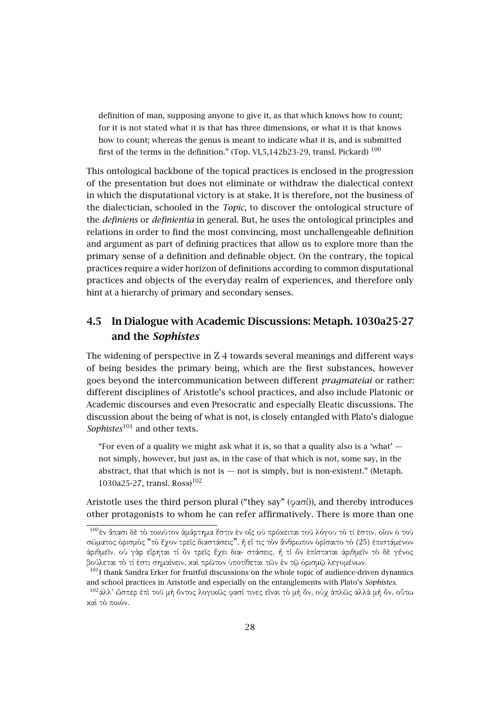definition of man, supposing anyone to give it, as that which knows how to count; for it is not stated what it is that has three dimensions, or what it is that knows how to count; whereas the genus is meant to indicate what it is, and is submitted first of the terms in the definition." (Top. VI,5,142b23-29, transl. Pickard) <sup>100</sup>

This ontological backbone of the topical practices is enclosed in the progression of the presentation but does not eliminate or withdraw the dialectical context in which the disputational victory is at stake. It is therefore, not the business of the dialectician, schooled in the *Topic*, to discover the ontological structure of the *definiens* or *definientia* in general. But, he uses the ontological principles and relations in order to find the most convincing, most unchallengeable definition and argument as part of defining practices that allow us to explore more than the primary sense of a definition and definable object. On the contrary, the topical practices require a wider horizon of definitions according to common disputational practices and objects of the everyday realm of experiences, and therefore only hint at a hierarchy of primary and secondary senses.

#### **4.5 In Dialogue with Academic Discussions: Metaph. 1030a25-27 and the** *Sophistes*

The widening of perspective in Z 4 towards several meanings and different ways of being besides the primary being, which are the first substances, however goes beyond the intercommunication between different *pragmateiai* or rather: different disciplines of Aristotle's school practices, and also include Platonic or Academic discourses and even Presocratic and especially Eleatic discussions. The discussion about the being of what is not, is closely entangled with Plato's dialogue *Sophistes*<sup>101</sup> and other texts.

"For even of a quality we might ask what it is, so that a quality also is a 'what'  $$ not simply, however, but just as, in the case of that which is not, some say, in the abstract, that that which is not is  $-$  not is simply, but is non-existent." (Metaph. 1030a25-27, transl. Ross $10^{102}$ 

Aristotle uses the third person plural ("they say" ( $\varphi \alpha \sigma$ )), and thereby introduces other protagonists to whom he can refer affirmatively. There is more than one

 $^{100}$ έν ἅπασι δὲ τὸ τοιοῦτον ἁμάρτημα ἔστιν ἐν οἶς οὐ πρόχειται τοῦ λόγου τὸ τί ἐστιν, οἶον ὁ τοῦ σώµατος ὁρισµὸς "τὸ ἔχον τρεῖς διαστάσεις", ἢ εἴ τις τὸν ἄνθρωπον ὁρίσαιτο τὸ (25) ἐπιστάµενον ἀριθµεῖν. οὐ γὰρ εἴρηται τί ὂν τρεῖς ἔχει δια- στάσεις, ἢ τί ὂν ἐπίσταται ἀριθµεῖν τὸ δὲ γένος βούλεται τὸ τί ἐστι σηµαίνειν, καὶ πρῶτον ὑποτίθεται τῶν ἐν τῷ ὁρισµῷ λεγοµένων.

<sup>&</sup>lt;sup>101</sup>I thank Sandra Erker for fruitful discussions on the whole topic of audience-driven dynamics and school practices in Aristotle and especially on the entanglements with Plato's *Sophistes*.

<sup>102</sup>ἀλλ' ὥσπερ ἐπὶ τοῦ µὴ ὄντος λογικῶς φασί τινες εἶναι τὸ µὴ ὄν, οὐχ ἁπλῶς ἀλλὰ µὴ ὄν, οὕτω καὶ τὸ ποιόν.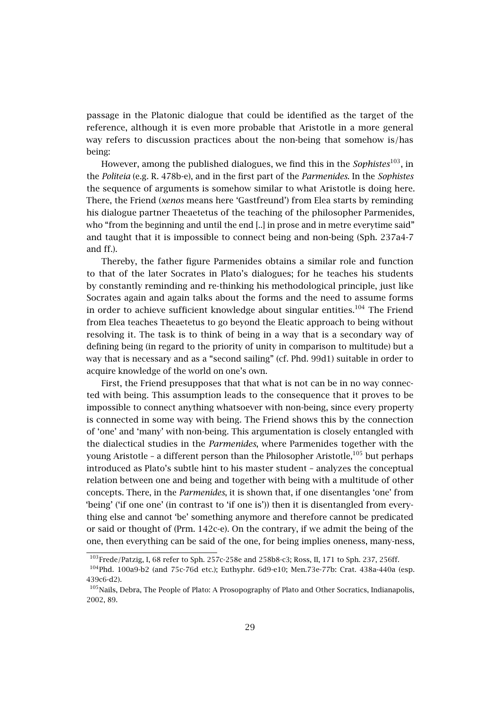passage in the Platonic dialogue that could be identified as the target of the reference, although it is even more probable that Aristotle in a more general way refers to discussion practices about the non-being that somehow is/has being:

However, among the published dialogues, we find this in the *Sophistes*<sup>103</sup>, in the *Politeia* (e.g. R. 478b-e), and in the first part of the *Parmenides*. In the *Sophistes* the sequence of arguments is somehow similar to what Aristotle is doing here. There, the Friend (*xenos* means here 'Gastfreund') from Elea starts by reminding his dialogue partner Theaetetus of the teaching of the philosopher Parmenides, who "from the beginning and until the end [..] in prose and in metre everytime said" and taught that it is impossible to connect being and non-being (Sph. 237a4-7 and ff.).

Thereby, the father figure Parmenides obtains a similar role and function to that of the later Socrates in Plato's dialogues; for he teaches his students by constantly reminding and re-thinking his methodological principle, just like Socrates again and again talks about the forms and the need to assume forms in order to achieve sufficient knowledge about singular entities.<sup>104</sup> The Friend from Elea teaches Theaetetus to go beyond the Eleatic approach to being without resolving it. The task is to think of being in a way that is a secondary way of defining being (in regard to the priority of unity in comparison to multitude) but a way that is necessary and as a "second sailing" (cf. Phd. 99d1) suitable in order to acquire knowledge of the world on one's own.

First, the Friend presupposes that that what is not can be in no way connected with being. This assumption leads to the consequence that it proves to be impossible to connect anything whatsoever with non-being, since every property is connected in some way with being. The Friend shows this by the connection of 'one' and 'many' with non-being. This argumentation is closely entangled with the dialectical studies in the *Parmenides*, where Parmenides together with the young Aristotle - a different person than the Philosopher Aristotle, $105$  but perhaps introduced as Plato's subtle hint to his master student – analyzes the conceptual relation between one and being and together with being with a multitude of other concepts. There, in the *Parmenides*, it is shown that, if one disentangles 'one' from 'being' ('if one one' (in contrast to 'if one is')) then it is disentangled from everything else and cannot 'be' something anymore and therefore cannot be predicated or said or thought of (Prm. 142c-e). On the contrary, if we admit the being of the one, then everything can be said of the one, for being implies oneness, many-ness,

<sup>103</sup>Frede/Patzig, I, 68 refer to Sph. 257c-258e and 258b8-c3; Ross, II, 171 to Sph. 237, 256ff.

<sup>104</sup>Phd. 100a9-b2 (and 75c-76d etc.); Euthyphr. 6d9-e10; Men.73e-77b: Crat. 438a-440a (esp. 439c6-d2).

<sup>&</sup>lt;sup>105</sup>Nails, Debra, The People of Plato: A Prosopography of Plato and Other Socratics, Indianapolis, 2002, 89.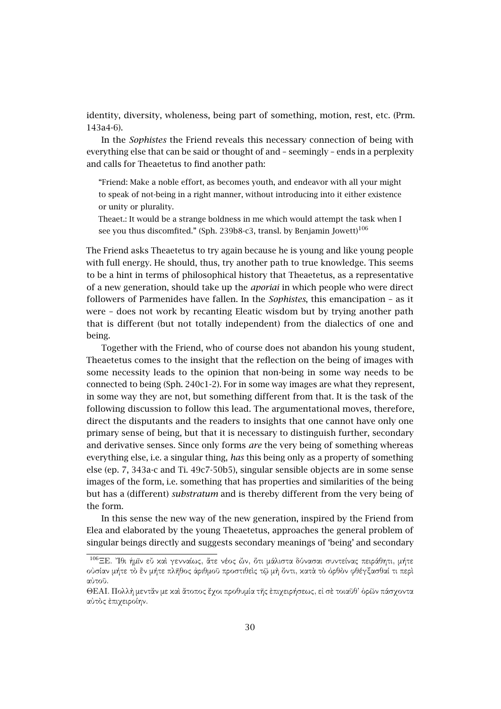identity, diversity, wholeness, being part of something, motion, rest, etc. (Prm. 143a4-6).

In the *Sophistes* the Friend reveals this necessary connection of being with everything else that can be said or thought of and – seemingly – ends in a perplexity and calls for Theaetetus to find another path:

"Friend: Make a noble effort, as becomes youth, and endeavor with all your might to speak of not-being in a right manner, without introducing into it either existence or unity or plurality.

Theaet.: It would be a strange boldness in me which would attempt the task when I see you thus discomfited." (Sph. 239b8-c3, transl. by Benjamin Jowett)<sup>106</sup>

The Friend asks Theaetetus to try again because he is young and like young people with full energy. He should, thus, try another path to true knowledge. This seems to be a hint in terms of philosophical history that Theaetetus, as a representative of a new generation, should take up the *aporiai* in which people who were direct followers of Parmenides have fallen. In the *Sophistes*, this emancipation – as it were – does not work by recanting Eleatic wisdom but by trying another path that is different (but not totally independent) from the dialectics of one and being.

Together with the Friend, who of course does not abandon his young student, Theaetetus comes to the insight that the reflection on the being of images with some necessity leads to the opinion that non-being in some way needs to be connected to being (Sph. 240c1-2). For in some way images are what they represent, in some way they are not, but something different from that. It is the task of the following discussion to follow this lead. The argumentational moves, therefore, direct the disputants and the readers to insights that one cannot have only one primary sense of being, but that it is necessary to distinguish further, secondary and derivative senses. Since only forms *are* the very being of something whereas everything else, i.e. a singular thing, *has* this being only as a property of something else (ep. 7, 343a-c and Ti. 49c7-50b5), singular sensible objects are in some sense images of the form, i.e. something that has properties and similarities of the being but has a (different) *substratum* and is thereby different from the very being of the form.

In this sense the new way of the new generation, inspired by the Friend from Elea and elaborated by the young Theaetetus, approaches the general problem of singular beings directly and suggests secondary meanings of 'being' and secondary

<sup>106</sup>ΞΕ. ῎Ιθι ἡµῖν εὖ καὶ γενναίως, ἅτε νέος ὤν, ὅτι µάλιστα δύνασαι συντείνας πειράθητι, µήτε οὐσίαν µήτε τὸ ἓν µήτε πλῆθος ἀριθµοῦ προστιθεὶς τῷ µὴ ὄντι, κατὰ τὸ ὀρθὸν φθέγξασθαί τι περὶ αὐτοῦ.

ΘΕΑΙ. Πολλὴ µεντἄν µε καὶ ἄτοπος ἔχοι προθυµία τῆς ἐπιχειρήσεως, εἰ σὲ τοιαῦθ' ὁρῶν πάσχοντα αὐτὸς ἐπιχειροίην.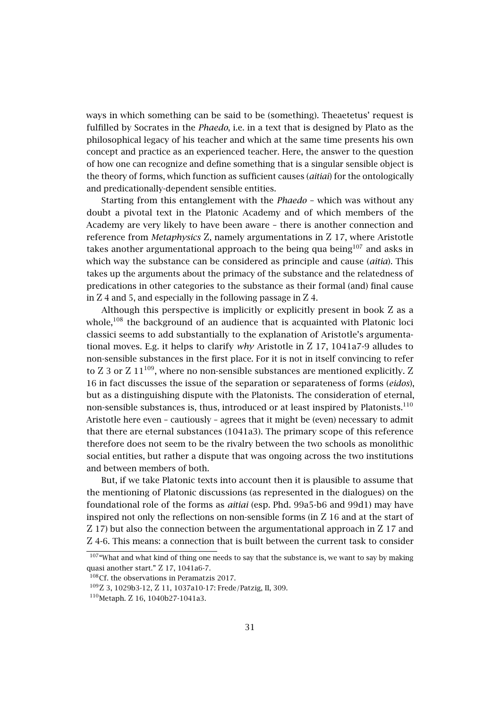ways in which something can be said to be (something). Theaetetus' request is fulfilled by Socrates in the *Phaedo*, i.e. in a text that is designed by Plato as the philosophical legacy of his teacher and which at the same time presents his own concept and practice as an experienced teacher. Here, the answer to the question of how one can recognize and define something that is a singular sensible object is the theory of forms, which function as sufficient causes (*aitiai*) for the ontologically and predicationally-dependent sensible entities.

Starting from this entanglement with the *Phaedo* – which was without any doubt a pivotal text in the Platonic Academy and of which members of the Academy are very likely to have been aware – there is another connection and reference from *Metaphysics* Ζ, namely argumentations in Ζ 17, where Aristotle takes another argumentational approach to the being qua being<sup>107</sup> and asks in which way the substance can be considered as principle and cause (*aitia*). This takes up the arguments about the primacy of the substance and the relatedness of predications in other categories to the substance as their formal (and) final cause in Ζ 4 and 5, and especially in the following passage in Ζ 4.

Although this perspective is implicitly or explicitly present in book Ζ as a whole,<sup>108</sup> the background of an audience that is acquainted with Platonic loci classici seems to add substantially to the explanation of Aristotle's argumentational moves. E.g. it helps to clarify *why* Aristotle in Ζ 17, 1041a7-9 alludes to non-sensible substances in the first place. For it is not in itself convincing to refer to Z 3 or Z  $11^{109}$ , where no non-sensible substances are mentioned explicitly. Z 16 in fact discusses the issue of the separation or separateness of forms (*eidos*), but as a distinguishing dispute with the Platonists. The consideration of eternal, non-sensible substances is, thus, introduced or at least inspired by Platonists.<sup>110</sup> Aristotle here even – cautiously – agrees that it might be (even) necessary to admit that there are eternal substances (1041a3). The primary scope of this reference therefore does not seem to be the rivalry between the two schools as monolithic social entities, but rather a dispute that was ongoing across the two institutions and between members of both.

But, if we take Platonic texts into account then it is plausible to assume that the mentioning of Platonic discussions (as represented in the dialogues) on the foundational role of the forms as *aitiai* (esp. Phd. 99a5-b6 and 99d1) may have inspired not only the reflections on non-sensible forms (in Ζ 16 and at the start of Ζ 17) but also the connection between the argumentational approach in Ζ 17 and Ζ 4-6. This means: a connection that is built between the current task to consider

<sup>&</sup>lt;sup>107</sup>"What and what kind of thing one needs to say that the substance is, we want to say by making quasi another start." Ζ 17, 1041a6-7.

<sup>108</sup>Cf. the observations in Peramatzis 2017.

<sup>109</sup>Ζ 3, 1029b3-12, Ζ 11, 1037a10-17: Frede/Patzig, II, 309.

<sup>110</sup>Metaph. Ζ 16, 1040b27-1041a3.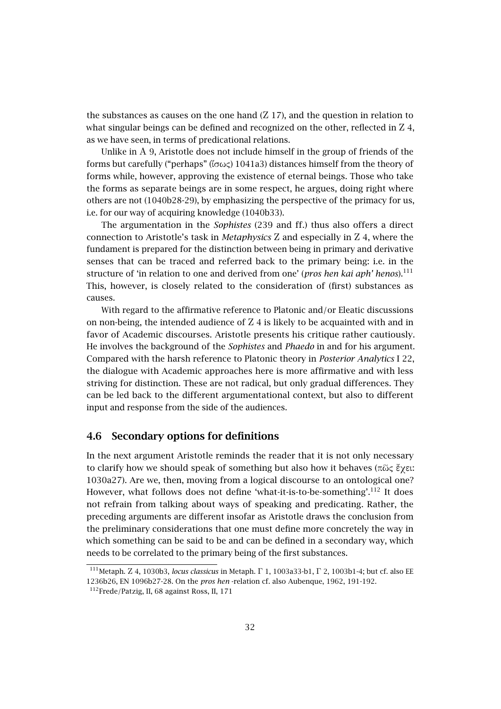the substances as causes on the one hand (Ζ 17), and the question in relation to what singular beings can be defined and recognized on the other, reflected in Z 4, as we have seen, in terms of predicational relations.

Unlike in Α 9, Aristotle does not include himself in the group of friends of the forms but carefully ("perhaps" (ἴσως) 1041a3) distances himself from the theory of forms while, however, approving the existence of eternal beings. Those who take the forms as separate beings are in some respect, he argues, doing right where others are not (1040b28-29), by emphasizing the perspective of the primacy for us, i.e. for our way of acquiring knowledge (1040b33).

The argumentation in the *Sophistes* (239 and ff.) thus also offers a direct connection to Aristotle's task in *Metaphysics* Ζ and especially in Ζ 4, where the fundament is prepared for the distinction between being in primary and derivative senses that can be traced and referred back to the primary being: i.e. in the structure of 'in relation to one and derived from one' (*pros hen kai aph' henos*).<sup>111</sup> This, however, is closely related to the consideration of (first) substances as causes.

With regard to the affirmative reference to Platonic and/or Eleatic discussions on non-being, the intended audience of  $Z$  4 is likely to be acquainted with and in favor of Academic discourses. Aristotle presents his critique rather cautiously. He involves the background of the *Sophistes* and *Phaedo* in and for his argument. Compared with the harsh reference to Platonic theory in *Posterior Analytics* I 22, the dialogue with Academic approaches here is more affirmative and with less striving for distinction. These are not radical, but only gradual differences. They can be led back to the different argumentational context, but also to different input and response from the side of the audiences.

#### **4.6 Secondary options for definitions**

In the next argument Aristotle reminds the reader that it is not only necessary to clarify how we should speak of something but also how it behaves (πῶς ἔχει: 1030a27). Are we, then, moving from a logical discourse to an ontological one? However, what follows does not define 'what-it-is-to-be-something'.<sup>112</sup> It does not refrain from talking about ways of speaking and predicating. Rather, the preceding arguments are different insofar as Aristotle draws the conclusion from the preliminary considerations that one must define more concretely the way in which something can be said to be and can be defined in a secondary way, which needs to be correlated to the primary being of the first substances.

<sup>111</sup>Metaph. Ζ 4, 1030b3, *locus classicus* in Metaph. Γ 1, 1003a33-b1, Γ 2, 1003b1-4; but cf. also EE 1236b26, EN 1096b27-28. On the *pros hen* -relation cf. also Aubenque, 1962, 191-192.

 $112$ Frede/Patzig, II, 68 against Ross, II, 171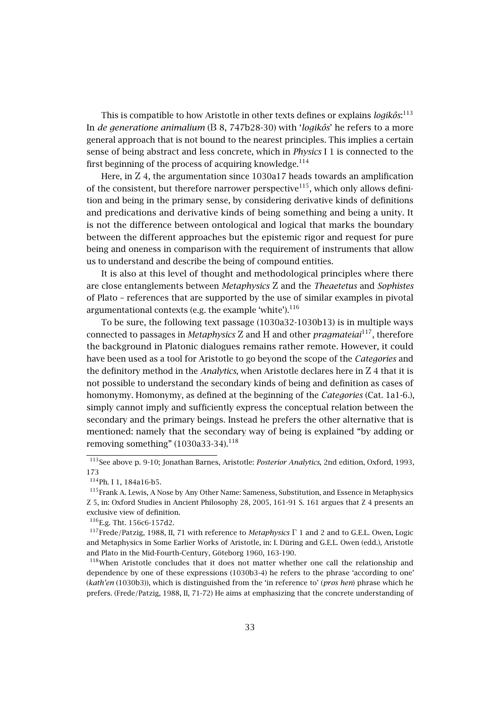This is compatible to how Aristotle in other texts defines or explains *logikôs*: 113 In *de generatione animalium* (Β 8, 747b28-30) with '*logikôs*' he refers to a more general approach that is not bound to the nearest principles. This implies a certain sense of being abstract and less concrete, which in *Physics* I 1 is connected to the first beginning of the process of acquiring knowledge. $114$ 

Here, in Z 4, the argumentation since 1030a17 heads towards an amplification of the consistent, but therefore narrower perspective<sup>115</sup>, which only allows definition and being in the primary sense, by considering derivative kinds of definitions and predications and derivative kinds of being something and being a unity. It is not the difference between ontological and logical that marks the boundary between the different approaches but the epistemic rigor and request for pure being and oneness in comparison with the requirement of instruments that allow us to understand and describe the being of compound entities.

It is also at this level of thought and methodological principles where there are close entanglements between *Metaphysics* Ζ and the *Theaetetus* and *Sophistes* of Plato – references that are supported by the use of similar examples in pivotal argumentational contexts (e.g. the example 'white'). $116$ 

To be sure, the following text passage (1030a32-1030b13) is in multiple ways connected to passages in *Metaphysics* Ζ and Η and other *pragmateiai*<sup>117</sup>, therefore the background in Platonic dialogues remains rather remote. However, it could have been used as a tool for Aristotle to go beyond the scope of the *Categories* and the definitory method in the *Analytics*, when Aristotle declares here in Ζ 4 that it is not possible to understand the secondary kinds of being and definition as cases of homonymy. Homonymy, as defined at the beginning of the *Categories* (Cat. 1a1-6.), simply cannot imply and sufficiently express the conceptual relation between the secondary and the primary beings. Instead he prefers the other alternative that is mentioned: namely that the secondary way of being is explained "by adding or removing something" (1030a33-34).<sup>118</sup>

<sup>113</sup>See above p. 9-10; Jonathan Barnes, Aristotle: *Posterior Analytics*, 2nd edition, Oxford, 1993, 173

<sup>114</sup>Ph. I 1, 184a16-b5.

<sup>&</sup>lt;sup>115</sup>Frank A. Lewis, A Nose by Any Other Name: Sameness, Substitution, and Essence in Metaphysics Z 5, in: Oxford Studies in Ancient Philosophy 28, 2005, 161-91 S. 161 argues that Z 4 presents an exclusive view of definition.

<sup>116</sup>E.g. Tht. 156c6-157d2.

<sup>117</sup>Frede/Patzig, 1988, II, 71 with reference to *Metaphysics* Γ 1 and 2 and to G.E.L. Owen, Logic and Metaphysics in Some Earlier Works of Aristotle, in: I. Düring and G.E.L. Owen (edd.), Aristotle and Plato in the Mid-Fourth-Century, Göteborg 1960, 163-190.

<sup>118</sup>When Aristotle concludes that it does not matter whether one call the relationship and dependence by one of these expressions (1030b3-4) he refers to the phrase 'according to one' (*kath'en* (1030b3)), which is distinguished from the 'in reference to' (*pros hen*) phrase which he prefers. (Frede/Patzig, 1988, II, 71-72) He aims at emphasizing that the concrete understanding of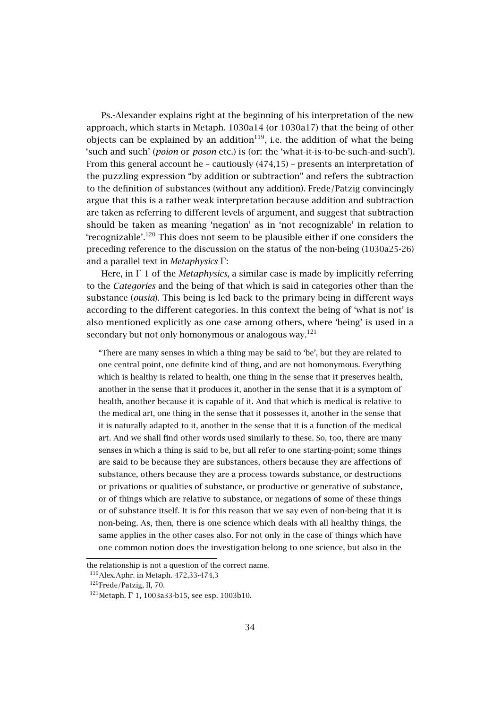Ps.-Alexander explains right at the beginning of his interpretation of the new approach, which starts in Metaph. 1030a14 (or 1030a17) that the being of other objects can be explained by an addition<sup>119</sup>, i.e. the addition of what the being 'such and such' (*poion* or *poson* etc.) is (or: the 'what-it-is-to-be-such-and-such'). From this general account he – cautiously (474,15) – presents an interpretation of the puzzling expression "by addition or subtraction" and refers the subtraction to the definition of substances (without any addition). Frede/Patzig convincingly argue that this is a rather weak interpretation because addition and subtraction are taken as referring to different levels of argument, and suggest that subtraction should be taken as meaning 'negation' as in 'not recognizable' in relation to 'recognizable'.<sup>120</sup> This does not seem to be plausible either if one considers the preceding reference to the discussion on the status of the non-being (1030a25-26) and a parallel text in *Metaphysics* Γ:

Here, in Γ 1 of the *Metaphysics*, a similar case is made by implicitly referring to the *Categories* and the being of that which is said in categories other than the substance (*ousia*). This being is led back to the primary being in different ways according to the different categories. In this context the being of 'what is not' is also mentioned explicitly as one case among others, where 'being' is used in a secondary but not only homonymous or analogous way.<sup>121</sup>

"There are many senses in which a thing may be said to 'be', but they are related to one central point, one definite kind of thing, and are not homonymous. Everything which is healthy is related to health, one thing in the sense that it preserves health, another in the sense that it produces it, another in the sense that it is a symptom of health, another because it is capable of it. And that which is medical is relative to the medical art, one thing in the sense that it possesses it, another in the sense that it is naturally adapted to it, another in the sense that it is a function of the medical art. And we shall find other words used similarly to these. So, too, there are many senses in which a thing is said to be, but all refer to one starting-point; some things are said to be because they are substances, others because they are affections of substance, others because they are a process towards substance, or destructions or privations or qualities of substance, or productive or generative of substance, or of things which are relative to substance, or negations of some of these things or of substance itself. It is for this reason that we say even of non-being that it is non-being. As, then, there is one science which deals with all healthy things, the same applies in the other cases also. For not only in the case of things which have one common notion does the investigation belong to one science, but also in the

the relationship is not a question of the correct name.

<sup>119</sup>Alex.Aphr. in Metaph. 472,33-474,3

<sup>&</sup>lt;sup>120</sup>Frede/Patzig, II, 70.

<sup>121</sup>Metaph. Γ 1, 1003a33-b15, see esp. 1003b10.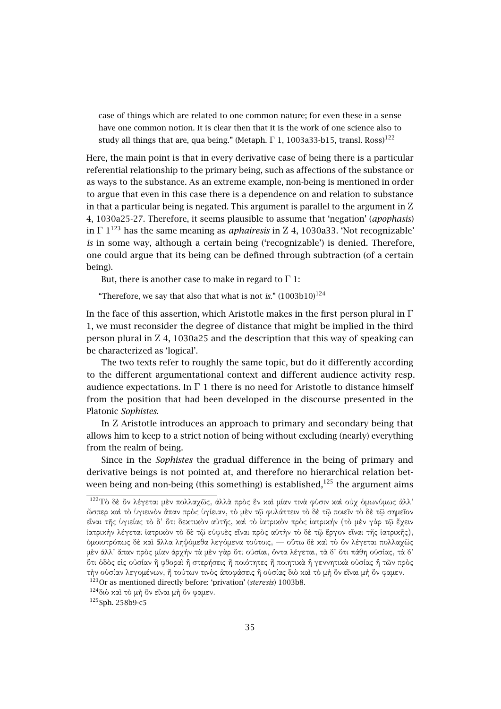case of things which are related to one common nature; for even these in a sense have one common notion. It is clear then that it is the work of one science also to study all things that are, qua being." (Metaph.  $\Gamma$  1, 1003a33-b15, transl. Ross)<sup>122</sup>

Here, the main point is that in every derivative case of being there is a particular referential relationship to the primary being, such as affections of the substance or as ways to the substance. As an extreme example, non-being is mentioned in order to argue that even in this case there is a dependence on and relation to substance in that a particular being is negated. This argument is parallel to the argument in Ζ 4, 1030a25-27. Therefore, it seems plausible to assume that 'negation' (*apophasis*) in  $\Gamma$   $1^{123}$  has the same meaning as *aphairesis* in Z 4, 1030a33. 'Not recognizable' *is* in some way, although a certain being ('recognizable') is denied. Therefore, one could argue that its being can be defined through subtraction (of a certain being).

But, there is another case to make in regard to  $\Gamma$  1:

"Therefore, we say that also that what is not *is*."  $(1003b10)^{124}$ 

In the face of this assertion, which Aristotle makes in the first person plural in  $\Gamma$ 1, we must reconsider the degree of distance that might be implied in the third person plural in Ζ 4, 1030a25 and the description that this way of speaking can be characterized as 'logical'.

The two texts refer to roughly the same topic, but do it differently according to the different argumentational context and different audience activity resp. audience expectations. In  $\Gamma$  1 there is no need for Aristotle to distance himself from the position that had been developed in the discourse presented in the Platonic *Sophistes*.

In Ζ Aristotle introduces an approach to primary and secondary being that allows him to keep to a strict notion of being without excluding (nearly) everything from the realm of being.

Since in the *Sophistes* the gradual difference in the being of primary and derivative beings is not pointed at, and therefore no hierarchical relation between being and non-being (this something) is established, $125$  the argument aims

<sup>122</sup>Τὸ δὲ ὂν λέγεται µὲν πολλαχῶς, ἀλλὰ πρὸς ἓν καὶ µίαν τινὰ φύσιν καὶ οὐχ ὁµωνύµως ἀλλ' ὥσπερ καὶ τὸ ὑγιεινὸν ἅπαν πρὸς ὑγίειαν, τὸ µὲν τῷ φυλάττειν τὸ δὲ τῷ ποιεῖν τὸ δὲ τῷ σηµεῖον εἶναι τῆς ὑγιείας τὸ δ' ὅτι δεκτικὸν αὐτῆς, καὶ τὸ ἰατρικὸν πρὸς ἰατρικήν (τὸ µὲν γὰρ τῷ ἔχειν ἰατρικὴν λέγεται ἰατρικὸν τὸ δὲ τῷ εὐφυὲς εἶναι πρὸς αὐτὴν τὸ δὲ τῷ ἔργον εἶναι τῆς ἰατρικῆς), ὁµοιοτρόπως δὲ καὶ ἄλλα ληψόµεθα λεγόµενα τούτοις, — οὕτω δὲ καὶ τὸ ὂν λέγεται πολλαχῶς µὲν ἀλλ' ἅπαν πρὸς µίαν ἀρχήν τὰ µὲν γὰρ ὅτι οὐσίαι, ὄντα λέγεται, τὰ δ' ὅτι πάθη οὐσίας, τὰ δ' ὅτι ὁδὸς εἰς οὐσίαν ἢ φθοραὶ ἢ στερήσεις ἢ ποιότητες ἢ ποιητικὰ ἢ γεννητικὰ οὐσίας ἢ τῶν πρὸς τὴν οὐσίαν λεγοµένων, ἢ τούτων τινὸς ἀποφάσεις ἢ οὐσίας διὸ καὶ τὸ µὴ ὂν εἶναι µὴ ὄν φαµεν.

<sup>123</sup>Or as mentioned directly before: 'privation' (*steresis*) 1003b8.

 $124$ διὸ καὶ τὸ μὴ ὂν εἶναι μὴ ὄν φαμεν.

<sup>125</sup>Sph. 258b9-c5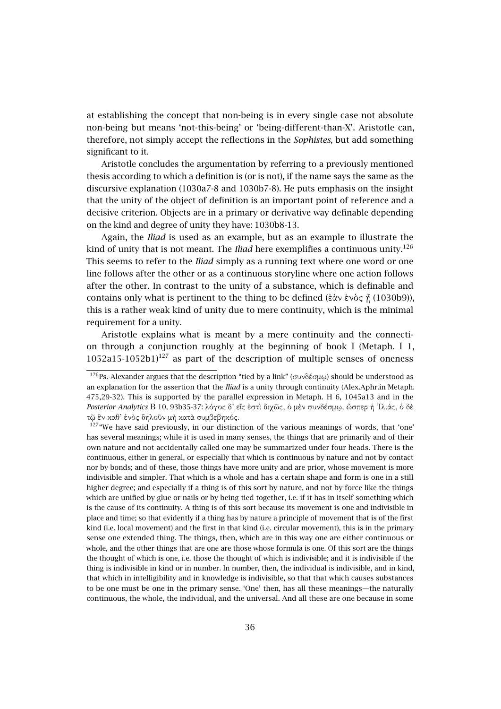at establishing the concept that non-being is in every single case not absolute non-being but means 'not-this-being' or 'being-different-than-X'. Aristotle can, therefore, not simply accept the reflections in the *Sophistes*, but add something significant to it.

Aristotle concludes the argumentation by referring to a previously mentioned thesis according to which a definition is (or is not), if the name says the same as the discursive explanation (1030a7-8 and 1030b7-8). He puts emphasis on the insight that the unity of the object of definition is an important point of reference and a decisive criterion. Objects are in a primary or derivative way definable depending on the kind and degree of unity they have: 1030b8-13.

Again, the *Iliad* is used as an example, but as an example to illustrate the kind of unity that is not meant. The *Iliad* here exemplifies a continuous unity.<sup>126</sup> This seems to refer to the *Iliad* simply as a running text where one word or one line follows after the other or as a continuous storyline where one action follows after the other. In contrast to the unity of a substance, which is definable and contains only what is pertinent to the thing to be defined (ἐὰν ἑνὸς ἦ (1030b9)), this is a rather weak kind of unity due to mere continuity, which is the minimal requirement for a unity.

Aristotle explains what is meant by a mere continuity and the connection through a conjunction roughly at the beginning of book Ι (Metaph. Ι 1,  $1052a15-1052b1$ <sup>127</sup> as part of the description of multiple senses of oneness

<sup>&</sup>lt;sup>126</sup>Ps.-Alexander argues that the description "tied by a link" (συνδέσμω) should be understood as an explanation for the assertion that the *Iliad* is a unity through continuity (Alex.Aphr.in Metaph. 475,29-32). This is supported by the parallel expression in Metaph. Η 6, 1045a13 and in the *Posterior Analytics* Β 10, 93b35-37: λόγος δ' εἷς ἐστὶ διχῶς, ὁ µὲν συνδέσµῳ, ὥσπερ ἡ ᾿Ιλιάς, ὁ δὲ τῷ ἓν καθ' ἑνὸς δηλοῦν µὴ κατὰ συµβεβηκός.

<sup>&</sup>lt;sup>127</sup>"We have said previously, in our distinction of the various meanings of words, that 'one' has several meanings; while it is used in many senses, the things that are primarily and of their own nature and not accidentally called one may be summarized under four heads. There is the continuous, either in general, or especially that which is continuous by nature and not by contact nor by bonds; and of these, those things have more unity and are prior, whose movement is more indivisible and simpler. That which is a whole and has a certain shape and form is one in a still higher degree; and especially if a thing is of this sort by nature, and not by force like the things which are unified by glue or nails or by being tied together, i.e. if it has in itself something which is the cause of its continuity. A thing is of this sort because its movement is one and indivisible in place and time; so that evidently if a thing has by nature a principle of movement that is of the first kind (i.e. local movement) and the first in that kind (i.e. circular movement), this is in the primary sense one extended thing. The things, then, which are in this way one are either continuous or whole, and the other things that are one are those whose formula is one. Of this sort are the things the thought of which is one, i.e. those the thought of which is indivisible; and it is indivisible if the thing is indivisible in kind or in number. In number, then, the individual is indivisible, and in kind, that which in intelligibility and in knowledge is indivisible, so that that which causes substances to be one must be one in the primary sense. 'One' then, has all these meanings—the naturally continuous, the whole, the individual, and the universal. And all these are one because in some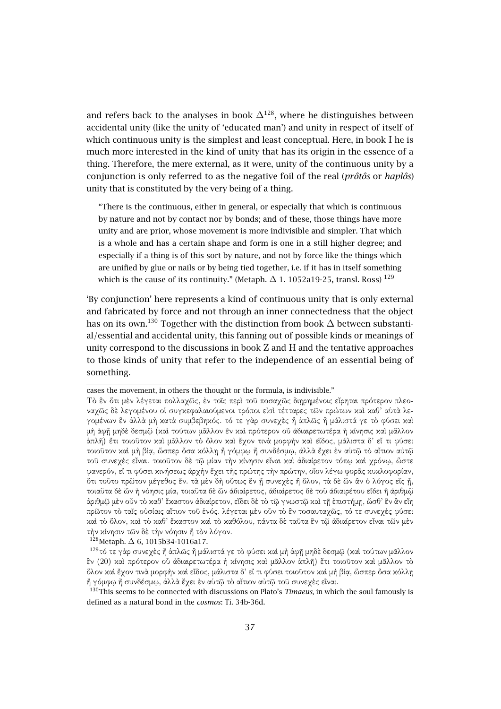and refers back to the analyses in book  $\Delta^{128}$ , where he distinguishes between accidental unity (like the unity of 'educated man') and unity in respect of itself of which continuous unity is the simplest and least conceptual. Here, in book Ι he is much more interested in the kind of unity that has its origin in the essence of a thing. Therefore, the mere external, as it were, unity of the continuous unity by a conjunction is only referred to as the negative foil of the real (*prôtôs* or *haplôs*) unity that is constituted by the very being of a thing.

"There is the continuous, either in general, or especially that which is continuous by nature and not by contact nor by bonds; and of these, those things have more unity and are prior, whose movement is more indivisible and simpler. That which is a whole and has a certain shape and form is one in a still higher degree; and especially if a thing is of this sort by nature, and not by force like the things which are unified by glue or nails or by being tied together, i.e. if it has in itself something which is the cause of its continuity." (Metaph.  $\Delta$  1. 1052a19-25, transl. Ross) <sup>129</sup>

'By conjunction' here represents a kind of continuous unity that is only external and fabricated by force and not through an inner connectedness that the object has on its own.<sup>130</sup> Together with the distinction from book  $\Delta$  between substantial/essential and accidental unity, this fanning out of possible kinds or meanings of unity correspond to the discussions in book Ζ and Η and the tentative approaches to those kinds of unity that refer to the independence of an essential being of something.

cases the movement, in others the thought or the formula, is indivisible."

Τὸ ἓν ὅτι µὲν λέγεται πολλαχῶς, ἐν τοῖς περὶ τοῦ ποσαχῶς διῃρηµένοις εἴρηται πρότερον πλεοναχῶς δὲ λεγοµένου οἱ συγκεφαλαιούµενοι τρόποι εἰσὶ τέτταρες τῶν πρώτων καὶ καθ' αὑτὰ λεγοµένων ἓν ἀλλὰ µὴ κατὰ συµβεβηκός. τό τε γὰρ συνεχὲς ἢ ἁπλῶς ἢ µάλιστά γε τὸ φύσει καὶ µὴ ἁφῇ µηδὲ δεσµῷ (καὶ τούτων µᾶλλον ἓν καὶ πρότερον οὗ ἀδιαιρετωτέρα ἡ κίνησις καὶ µᾶλλον ἁπλῆ) ἔτι τοιοῦτον καὶ µᾶλλον τὸ ὅλον καὶ ἔχον τινὰ µορφὴν καὶ εἶδος, µάλιστα δ' εἴ τι φύσει τοιοῦτον καὶ µὴ βίᾳ, ὥσπερ ὅσα κόλλῃ ἢ γόµφῳ ἢ συνδέσµῳ, ἀλλὰ ἔχει ἐν αὑτῷ τὸ αἴτιον αὐτῷ τοῦ συνεχὲς εἶναι. τοιοῦτον δὲ τῷ µίαν τὴν κίνησιν εἶναι καὶ ἀδιαίρετον τόπῳ καὶ χρόνῳ, ὥστε φανερόν, εἴ τι φύσει κινήσεως ἀρχὴν ἔχει τῆς πρώτης τὴν πρώτην, οἷον λέγω φορᾶς κυκλοφορίαν, ὅτι τοῦτο πρῶτον µέγεθος ἕν. τὰ µὲν δὴ οὕτως ἓν ᾗ συνεχὲς ἢ ὅλον, τὰ δὲ ὧν ἂν ὁ λόγος εἷς ᾖ, τοιαῦτα δὲ ὧν ἡ νόησις µία, τοιαῦτα δὲ ὧν ἀδιαίρετος, ἀδιαίρετος δὲ τοῦ ἀδιαιρέτου εἴδει ἢ ἀριθµῷ ἀριθµῷ µὲν οὖν τὸ καθ' ἕκαστον ἀδιαίρετον, εἴδει δὲ τὸ τῷ γνωστῷ καὶ τῇ ἐπιστήµῃ, ὥσθ' ἓν ἂν εἴη πρῶτον τὸ ταῖς οὐσίαις αἴτιον τοῦ ἑνός. λέγεται µὲν οὖν τὸ ἓν τοσαυταχῶς, τό τε συνεχὲς φύσει καὶ τὸ ὅλον, καὶ τὸ καθ' ἕκαστον καὶ τὸ καθόλου, πάντα δὲ ταῦτα ἓν τῷ ἀδιαίρετον εἶναι τῶν µὲν τὴν κίνησιν τῶν δὲ τὴν νόησιν ἢ τὸν λόγον.

 $128$ Metaph.  $\Delta$  6, 1015b34-1016a17.

<sup>129</sup>τό τε γὰρ συνεχὲς ἢ ἁπλῶς ἢ µάλιστά γε τὸ φύσει καὶ µὴ ἁφῇ µηδὲ δεσµῷ (καὶ τούτων µᾶλλον ἓν (20) καὶ πρότερον οὗ ἀδιαιρετωτέρα ἡ κίνησις καὶ µᾶλλον ἁπλῆ) ἔτι τοιοῦτον καὶ µᾶλλον τὸ ὅλον καὶ ἔχον τινὰ µορφὴν καὶ εἶδος, µάλιστα δ' εἴ τι φύσει τοιοῦτον καὶ µὴ βίᾳ, ὥσπερ ὅσα κόλλῃ ἢ γόµφῳ ἢ συνδέσµῳ, ἀλλὰ ἔχει ἐν αὑτῷ τὸ αἴτιον αὐτῷ τοῦ συνεχὲς εἶναι.

<sup>130</sup>This seems to be connected with discussions on Plato's *Timaeus*, in which the soul famously is defined as a natural bond in the *cosmos*: Ti. 34b-36d.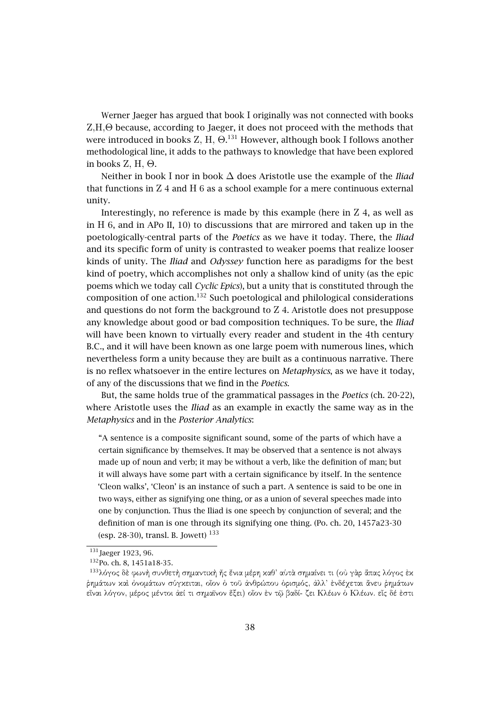Werner Jaeger has argued that book Ι originally was not connected with books Ζ,Η,Θ because, according to Jaeger, it does not proceed with the methods that were introduced in books Z, H,  $\Theta^{.131}$  However, although book I follows another methodological line, it adds to the pathways to knowledge that have been explored in books Ζ, Η, Θ.

Neither in book Ι nor in book ∆ does Aristotle use the example of the *Iliad* that functions in Ζ 4 and Η 6 as a school example for a mere continuous external unity.

Interestingly, no reference is made by this example (here in Ζ 4, as well as in Η 6, and in APo II, 10) to discussions that are mirrored and taken up in the poetologically-central parts of the *Poetics* as we have it today. There, the *Iliad* and its specific form of unity is contrasted to weaker poems that realize looser kinds of unity. The *Iliad* and *Odyssey* function here as paradigms for the best kind of poetry, which accomplishes not only a shallow kind of unity (as the epic poems which we today call *Cyclic Epics*), but a unity that is constituted through the composition of one action. $132$  Such poetological and philological considerations and questions do not form the background to Ζ 4. Aristotle does not presuppose any knowledge about good or bad composition techniques. To be sure, the *Iliad* will have been known to virtually every reader and student in the 4th century B.C., and it will have been known as one large poem with numerous lines, which nevertheless form a unity because they are built as a continuous narrative. There is no reflex whatsoever in the entire lectures on *Metaphysics*, as we have it today, of any of the discussions that we find in the *Poetics*.

But, the same holds true of the grammatical passages in the *Poetics* (ch. 20-22), where Aristotle uses the *Iliad* as an example in exactly the same way as in the *Metaphysics* and in the *Posterior Analytics*:

"A sentence is a composite significant sound, some of the parts of which have a certain significance by themselves. It may be observed that a sentence is not always made up of noun and verb; it may be without a verb, like the definition of man; but it will always have some part with a certain significance by itself. In the sentence 'Cleon walks', 'Cleon' is an instance of such a part. A sentence is said to be one in two ways, either as signifying one thing, or as a union of several speeches made into one by conjunction. Thus the Iliad is one speech by conjunction of several; and the definition of man is one through its signifying one thing. (Po. ch. 20, 1457a23-30 (esp. 28-30), transl. B. Jowett)  $^{133}$ 

<sup>&</sup>lt;sup>131</sup> Jaeger 1923, 96.

<sup>132</sup>Po. ch. 8, 1451a18-35.

<sup>133</sup>λόγος δὲ φωνὴ συνθετὴ σηµαντικὴ ἧς ἔνια µέρη καθ' αὑτὰ σηµαίνει τι (οὐ γὰρ ἅπας λόγος ἐκ ῥηµάτων καὶ ὀνοµάτων σύγκειται, οἷον ὁ τοῦ ἀνθρώπου ὁρισµός, ἀλλ' ἐνδέχεται ἄνευ ῥηµάτων εἶναι λόγον, µέρος µέντοι ἀεί τι σηµαῖνον ἕξει) οἷον ἐν τῷ βαδί- ζει Κλέων ὁ Κλέων. εἷς δέ ἐστι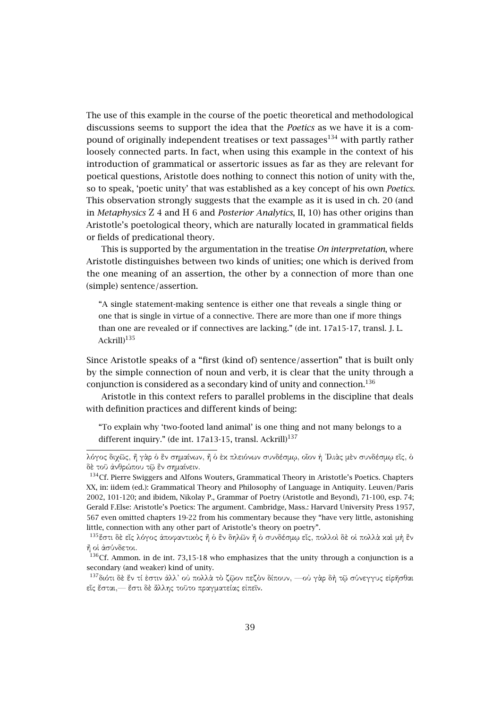The use of this example in the course of the poetic theoretical and methodological discussions seems to support the idea that the *Poetics* as we have it is a compound of originally independent treatises or text passages $134$  with partly rather loosely connected parts. In fact, when using this example in the context of his introduction of grammatical or assertoric issues as far as they are relevant for poetical questions, Aristotle does nothing to connect this notion of unity with the, so to speak, 'poetic unity' that was established as a key concept of his own *Poetics*. This observation strongly suggests that the example as it is used in ch. 20 (and in *Metaphysics* Ζ 4 and Η 6 and *Posterior Analytics*, II, 10) has other origins than Aristotle's poetological theory, which are naturally located in grammatical fields or fields of predicational theory.

This is supported by the argumentation in the treatise *On interpretation*, where Aristotle distinguishes between two kinds of unities; one which is derived from the one meaning of an assertion, the other by a connection of more than one (simple) sentence/assertion.

"A single statement-making sentence is either one that reveals a single thing or one that is single in virtue of a connective. There are more than one if more things than one are revealed or if connectives are lacking." (de int. 17a15-17, transl. J. L.  $Ackrill$ <sup>135</sup>

Since Aristotle speaks of a "first (kind of) sentence/assertion" that is built only by the simple connection of noun and verb, it is clear that the unity through a conjunction is considered as a secondary kind of unity and connection.<sup>136</sup>

Aristotle in this context refers to parallel problems in the discipline that deals with definition practices and different kinds of being:

"To explain why 'two-footed land animal' is one thing and not many belongs to a different inquiry." (de int. 17a13-15, transl. Ackrill)<sup>137</sup>

λόγος διχῶς, ἢ γὰρ ὁ ἓν σηµαίνων, ἢ ὁ ἐκ πλειόνων συνδέσµῳ, οἷον ἡ ᾿Ιλιὰς µὲν συνδέσµῳ εἷς, ὁ δὲ τοῦ ἀνθρώπου τῷ ἓν σηµαίνειν.

 $134$ Cf. Pierre Swiggers and Alfons Wouters, Grammatical Theory in Aristotle's Poetics. Chapters XX, in: iidem (ed.): Grammatical Theory and Philosophy of Language in Antiquity. Leuven/Paris 2002, 101-120; and ibidem, Nikolay P., Grammar of Poetry (Aristotle and Beyond), 71-100, esp. 74; Gerald F.Else: Aristotle's Poetics: The argument. Cambridge, Mass.: Harvard University Press 1957, 567 even omitted chapters 19-22 from his commentary because they "have very little, astonishing little, connection with any other part of Aristotle's theory on poetry".

<sup>&</sup>lt;sup>135</sup>ἔστι δὲ εἴς λόγος ἀποφαντικὸς ἢ ὁ ἓν δηλῶν ἢ ὁ συνδέσμῳ εἴς, πολλοὶ δὲ οἱ πολλὰ καὶ μὴ ἓν ἢ οἱ ἀσύνδετοι.

 $136$ Cf. Ammon. in de int. 73,15-18 who emphasizes that the unity through a conjunction is a secondary (and weaker) kind of unity.

<sup>137</sup>διότι δὲ ἕν τί ἐστιν ἀλλ' οὐ πολλὰ τὸ ζῷον πεζὸν δίπουν, —οὐ γὰρ δὴ τῷ σύνεγγυς εἰρῆσθαι εἷς ἔσται,— ἔστι δὲ ἄλλης τοῦτο πραγµατείας εἰπεῖν.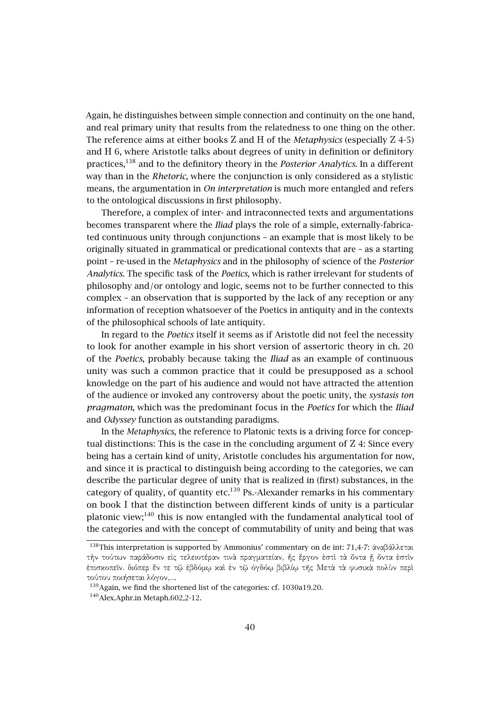Again, he distinguishes between simple connection and continuity on the one hand, and real primary unity that results from the relatedness to one thing on the other. The reference aims at either books Ζ and Η of the *Metaphysics* (especially Ζ 4-5) and Η 6, where Aristotle talks about degrees of unity in definition or definitory practices,<sup>138</sup> and to the definitory theory in the *Posterior Analytics*. In a different way than in the *Rhetoric*, where the conjunction is only considered as a stylistic means, the argumentation in *On interpretation* is much more entangled and refers to the ontological discussions in first philosophy.

Therefore, a complex of inter- and intraconnected texts and argumentations becomes transparent where the *Iliad* plays the role of a simple, externally-fabricated continuous unity through conjunctions – an example that is most likely to be originally situated in grammatical or predicational contexts that are – as a starting point – re-used in the *Metaphysics* and in the philosophy of science of the *Posterior Analytics*. The specific task of the *Poetics*, which is rather irrelevant for students of philosophy and/or ontology and logic, seems not to be further connected to this complex – an observation that is supported by the lack of any reception or any information of reception whatsoever of the Poetics in antiquity and in the contexts of the philosophical schools of late antiquity.

In regard to the *Poetics* itself it seems as if Aristotle did not feel the necessity to look for another example in his short version of assertoric theory in ch. 20 of the *Poetics*, probably because taking the *Iliad* as an example of continuous unity was such a common practice that it could be presupposed as a school knowledge on the part of his audience and would not have attracted the attention of the audience or invoked any controversy about the poetic unity, the *systasis ton pragmaton*, which was the predominant focus in the *Poetics* for which the *Iliad* and *Odyssey* function as outstanding paradigms.

In the *Metaphysics*, the reference to Platonic texts is a driving force for conceptual distinctions: This is the case in the concluding argument of Ζ 4: Since every being has a certain kind of unity, Aristotle concludes his argumentation for now, and since it is practical to distinguish being according to the categories, we can describe the particular degree of unity that is realized in (first) substances, in the category of quality, of quantity etc.<sup>139</sup> Ps.-Alexander remarks in his commentary on book Ι that the distinction between different kinds of unity is a particular platonic view; $^{140}$  this is now entangled with the fundamental analytical tool of the categories and with the concept of commutability of unity and being that was

<sup>&</sup>lt;sup>138</sup>This interpretation is supported by Ammonius' commentary on de int: 71,4-7: ἀναβάλλεται τὴν τούτων παράδοσιν εἰς τελειοτέραν τινὰ πραγµατείαν, ἧς ἔργον ἐστὶ τὰ ὄντα ᾗ ὄντα ἐστὶν ἐπισκοπεῖν. διόπερ ἔν τε τῷ ἑβδόµῳ καὶ ἐν τῷ ὀγδόῳ βιβλίῳ τῆς Μετὰ τὰ φυσικὰ πολὺν περὶ τούτου ποιήσεται λόγον,...

<sup>&</sup>lt;sup>139</sup>Again, we find the shortened list of the categories: cf. 1030a19.20.

<sup>140</sup>Alex.Aphr.in Metaph.602,2-12.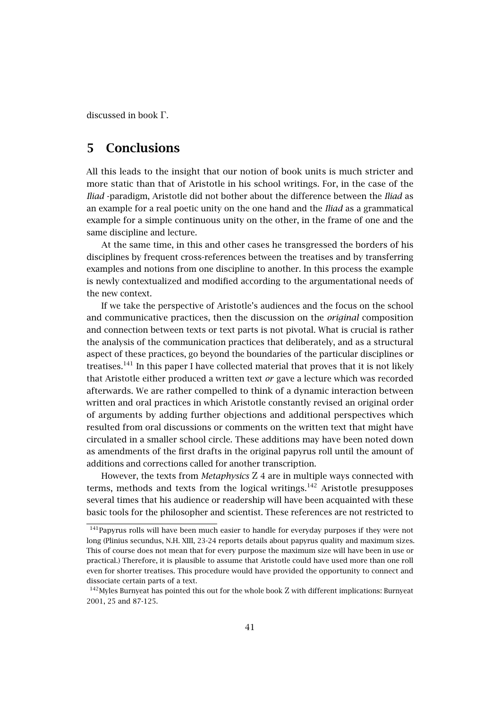discussed in book Γ.

### **5 Conclusions**

All this leads to the insight that our notion of book units is much stricter and more static than that of Aristotle in his school writings. For, in the case of the *Iliad* -paradigm, Aristotle did not bother about the difference between the *Iliad* as an example for a real poetic unity on the one hand and the *Iliad* as a grammatical example for a simple continuous unity on the other, in the frame of one and the same discipline and lecture.

At the same time, in this and other cases he transgressed the borders of his disciplines by frequent cross-references between the treatises and by transferring examples and notions from one discipline to another. In this process the example is newly contextualized and modified according to the argumentational needs of the new context.

If we take the perspective of Aristotle's audiences and the focus on the school and communicative practices, then the discussion on the *original* composition and connection between texts or text parts is not pivotal. What is crucial is rather the analysis of the communication practices that deliberately, and as a structural aspect of these practices, go beyond the boundaries of the particular disciplines or treatises.<sup>141</sup> In this paper I have collected material that proves that it is not likely that Aristotle either produced a written text *or* gave a lecture which was recorded afterwards. We are rather compelled to think of a dynamic interaction between written and oral practices in which Aristotle constantly revised an original order of arguments by adding further objections and additional perspectives which resulted from oral discussions or comments on the written text that might have circulated in a smaller school circle. These additions may have been noted down as amendments of the first drafts in the original papyrus roll until the amount of additions and corrections called for another transcription.

However, the texts from *Metaphysics* Ζ 4 are in multiple ways connected with terms, methods and texts from the logical writings.<sup>142</sup> Aristotle presupposes several times that his audience or readership will have been acquainted with these basic tools for the philosopher and scientist. These references are not restricted to

 $141$ Papyrus rolls will have been much easier to handle for everyday purposes if they were not long (Plinius secundus, N.H. XIII, 23-24 reports details about papyrus quality and maximum sizes. This of course does not mean that for every purpose the maximum size will have been in use or practical.) Therefore, it is plausible to assume that Aristotle could have used more than one roll even for shorter treatises. This procedure would have provided the opportunity to connect and dissociate certain parts of a text.

<sup>142</sup>Myles Burnyeat has pointed this out for the whole book Ζ with different implications: Burnyeat 2001, 25 and 87-125.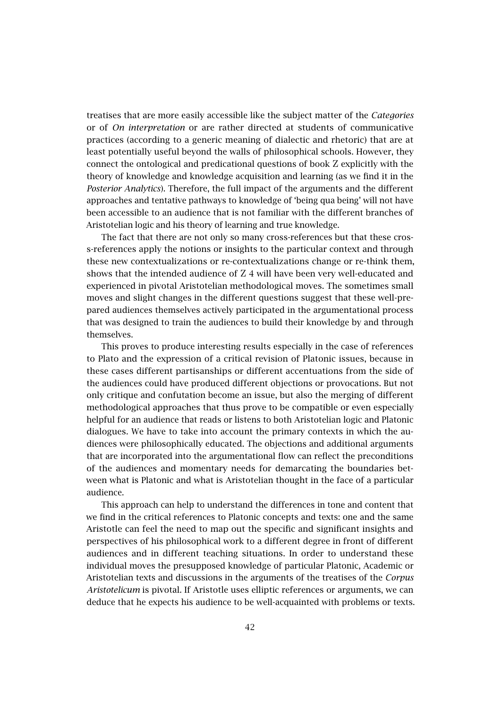treatises that are more easily accessible like the subject matter of the *Categories* or of *On interpretation* or are rather directed at students of communicative practices (according to a generic meaning of dialectic and rhetoric) that are at least potentially useful beyond the walls of philosophical schools. However, they connect the ontological and predicational questions of book Ζ explicitly with the theory of knowledge and knowledge acquisition and learning (as we find it in the *Posterior Analytics*). Therefore, the full impact of the arguments and the different approaches and tentative pathways to knowledge of 'being qua being' will not have been accessible to an audience that is not familiar with the different branches of Aristotelian logic and his theory of learning and true knowledge.

The fact that there are not only so many cross-references but that these cross-references apply the notions or insights to the particular context and through these new contextualizations or re-contextualizations change or re-think them, shows that the intended audience of Ζ 4 will have been very well-educated and experienced in pivotal Aristotelian methodological moves. The sometimes small moves and slight changes in the different questions suggest that these well-prepared audiences themselves actively participated in the argumentational process that was designed to train the audiences to build their knowledge by and through themselves.

This proves to produce interesting results especially in the case of references to Plato and the expression of a critical revision of Platonic issues, because in these cases different partisanships or different accentuations from the side of the audiences could have produced different objections or provocations. But not only critique and confutation become an issue, but also the merging of different methodological approaches that thus prove to be compatible or even especially helpful for an audience that reads or listens to both Aristotelian logic and Platonic dialogues. We have to take into account the primary contexts in which the audiences were philosophically educated. The objections and additional arguments that are incorporated into the argumentational flow can reflect the preconditions of the audiences and momentary needs for demarcating the boundaries between what is Platonic and what is Aristotelian thought in the face of a particular audience.

This approach can help to understand the differences in tone and content that we find in the critical references to Platonic concepts and texts: one and the same Aristotle can feel the need to map out the specific and significant insights and perspectives of his philosophical work to a different degree in front of different audiences and in different teaching situations. In order to understand these individual moves the presupposed knowledge of particular Platonic, Academic or Aristotelian texts and discussions in the arguments of the treatises of the *Corpus Aristotelicum* is pivotal. If Aristotle uses elliptic references or arguments, we can deduce that he expects his audience to be well-acquainted with problems or texts.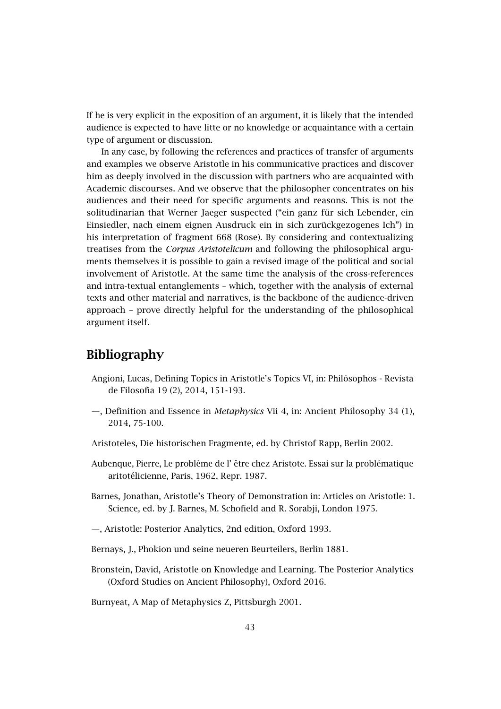If he is very explicit in the exposition of an argument, it is likely that the intended audience is expected to have litte or no knowledge or acquaintance with a certain type of argument or discussion.

In any case, by following the references and practices of transfer of arguments and examples we observe Aristotle in his communicative practices and discover him as deeply involved in the discussion with partners who are acquainted with Academic discourses. And we observe that the philosopher concentrates on his audiences and their need for specific arguments and reasons. This is not the solitudinarian that Werner Jaeger suspected ("ein ganz für sich Lebender, ein Einsiedler, nach einem eignen Ausdruck ein in sich zurückgezogenes Ich") in his interpretation of fragment 668 (Rose). By considering and contextualizing treatises from the *Corpus Aristotelicum* and following the philosophical arguments themselves it is possible to gain a revised image of the political and social involvement of Aristotle. At the same time the analysis of the cross-references and intra-textual entanglements – which, together with the analysis of external texts and other material and narratives, is the backbone of the audience-driven approach – prove directly helpful for the understanding of the philosophical argument itself.

## **Bibliography**

- Angioni, Lucas, Defining Topics in Aristotle's Topics VI, in: Philósophos Revista de Filosofia 19 (2), 2014, 151-193.
- —, Definition and Essence in *Metaphysics* Vii 4, in: Ancient Philosophy 34 (1), 2014, 75-100.
- Aristoteles, Die historischen Fragmente, ed. by Christof Rapp, Berlin 2002.
- Aubenque, Pierre, Le problème de l' être chez Aristote. Essai sur la problématique aritotélicienne, Paris, 1962, Repr. 1987.
- Barnes, Jonathan, Aristotle's Theory of Demonstration in: Articles on Aristotle: 1. Science, ed. by J. Barnes, M. Schofield and R. Sorabji, London 1975.
- —, Aristotle: Posterior Analytics, 2nd edition, Oxford 1993.
- Bernays, J., Phokion und seine neueren Beurteilers, Berlin 1881.
- Bronstein, David, Aristotle on Knowledge and Learning. The Posterior Analytics (Oxford Studies on Ancient Philosophy), Oxford 2016.

Burnyeat, A Map of Metaphysics Z, Pittsburgh 2001.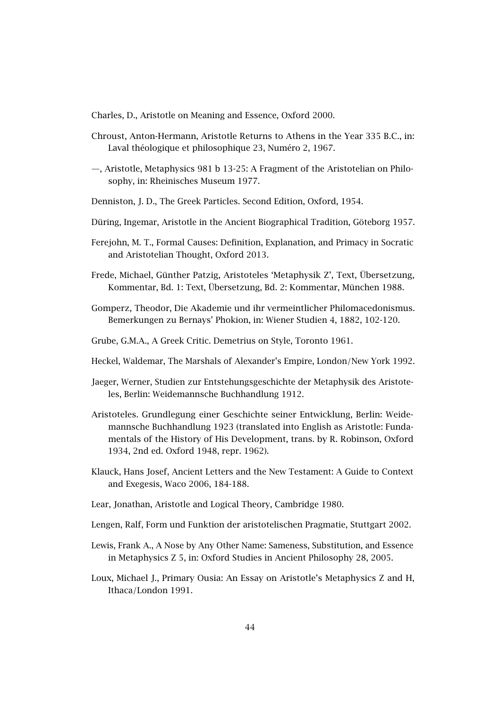Charles, D., Aristotle on Meaning and Essence, Oxford 2000.

- Chroust, Anton-Hermann, Aristotle Returns to Athens in the Year 335 B.C., in: Laval théologique et philosophique 23, Numéro 2, 1967.
- —, Aristotle, Metaphysics 981 b 13-25: A Fragment of the Aristotelian on Philosophy, in: Rheinisches Museum 1977.
- Denniston, J. D., The Greek Particles. Second Edition, Oxford, 1954.
- Düring, Ingemar, Aristotle in the Ancient Biographical Tradition, Göteborg 1957.
- Ferejohn, M. T., Formal Causes: Definition, Explanation, and Primacy in Socratic and Aristotelian Thought, Oxford 2013.
- Frede, Michael, Günther Patzig, Aristoteles 'Metaphysik Z', Text, Übersetzung, Kommentar, Bd. 1: Text, Übersetzung, Bd. 2: Kommentar, München 1988.
- Gomperz, Theodor, Die Akademie und ihr vermeintlicher Philomacedonismus. Bemerkungen zu Bernays' Phokion, in: Wiener Studien 4, 1882, 102-120.
- Grube, G.M.A., A Greek Critic. Demetrius on Style, Toronto 1961.
- Heckel, Waldemar, The Marshals of Alexander's Empire, London/New York 1992.
- Jaeger, Werner, Studien zur Entstehungsgeschichte der Metaphysik des Aristoteles, Berlin: Weidemannsche Buchhandlung 1912.
- Aristoteles. Grundlegung einer Geschichte seiner Entwicklung, Berlin: Weidemannsche Buchhandlung 1923 (translated into English as Aristotle: Fundamentals of the History of His Development, trans. by R. Robinson, Oxford 1934, 2nd ed. Oxford 1948, repr. 1962).
- Klauck, Hans Josef, Ancient Letters and the New Testament: A Guide to Context and Exegesis, Waco 2006, 184-188.
- Lear, Jonathan, Aristotle and Logical Theory, Cambridge 1980.
- Lengen, Ralf, Form und Funktion der aristotelischen Pragmatie, Stuttgart 2002.
- Lewis, Frank A., A Nose by Any Other Name: Sameness, Substitution, and Essence in Metaphysics Z 5, in: Oxford Studies in Ancient Philosophy 28, 2005.
- Loux, Michael J., Primary Ousia: An Essay on Aristotle's Metaphysics Z and H, Ithaca/London 1991.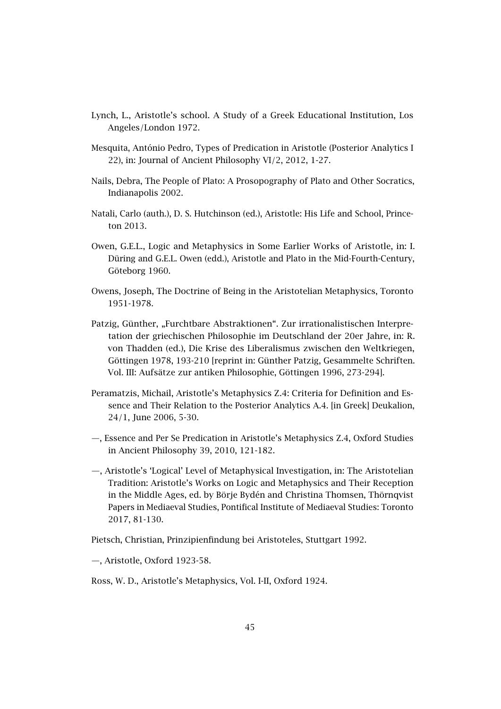- Lynch, L., Aristotle's school. A Study of a Greek Educational Institution, Los Angeles/London 1972.
- Mesquita, António Pedro, Types of Predication in Aristotle (Posterior Analytics I 22), in: Journal of Ancient Philosophy VI/2, 2012, 1-27.
- Nails, Debra, The People of Plato: A Prosopography of Plato and Other Socratics, Indianapolis 2002.
- Natali, Carlo (auth.), D. S. Hutchinson (ed.), Aristotle: His Life and School, Princeton 2013.
- Owen, G.E.L., Logic and Metaphysics in Some Earlier Works of Aristotle, in: I. Düring and G.E.L. Owen (edd.), Aristotle and Plato in the Mid-Fourth-Century, Göteborg 1960.
- Owens, Joseph, The Doctrine of Being in the Aristotelian Metaphysics, Toronto 1951-1978.
- Patzig, Günther, "Furchtbare Abstraktionen". Zur irrationalistischen Interpretation der griechischen Philosophie im Deutschland der 20er Jahre, in: R. von Thadden (ed.), Die Krise des Liberalismus zwischen den Weltkriegen, Göttingen 1978, 193-210 [reprint in: Günther Patzig, Gesammelte Schriften. Vol. III: Aufsätze zur antiken Philosophie, Göttingen 1996, 273-294].
- Peramatzis, Michail, Aristotle's Metaphysics Z.4: Criteria for Definition and Essence and Their Relation to the Posterior Analytics A.4. [in Greek] Deukalion, 24/1, June 2006, 5-30.
- —, Essence and Per Se Predication in Aristotle's Metaphysics Z.4, Oxford Studies in Ancient Philosophy 39, 2010, 121-182.
- —, Aristotle's 'Logical' Level of Metaphysical Investigation, in: The Aristotelian Tradition: Aristotle's Works on Logic and Metaphysics and Their Reception in the Middle Ages, ed. by Börje Bydén and Christina Thomsen, Thörnqvist Papers in Mediaeval Studies, Pontifical Institute of Mediaeval Studies: Toronto 2017, 81-130.

Pietsch, Christian, Prinzipienfindung bei Aristoteles, Stuttgart 1992.

—, Aristotle, Oxford 1923-58.

Ross, W. D., Aristotle's Metaphysics, Vol. I-II, Oxford 1924.